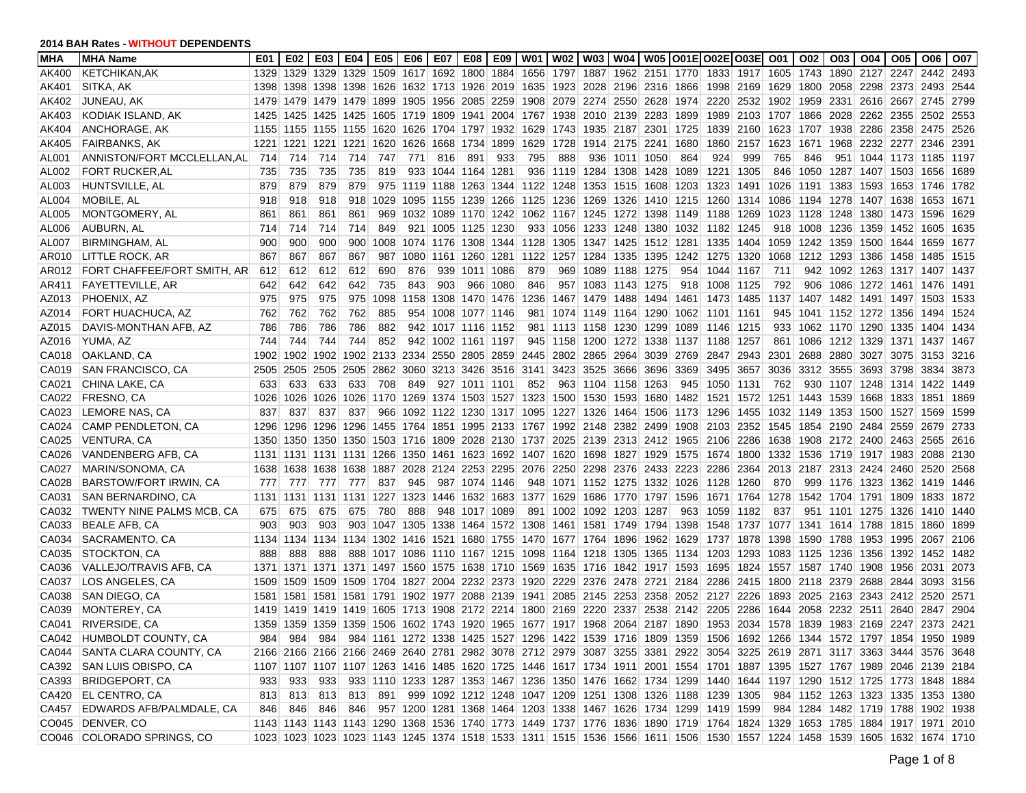| <b>MHA</b> | <b>MHA Name</b>                    | E01  | E02  | E03  | E04                                          | E05       | E06            | E07 | E08                           | <b>E09</b> | <b>W01</b>                    | <b>W02</b> | W03   W04   W05  O01E O02E O03E                                       |                |                     |           |                |                                                                                                                    | O01       | O02       | O03      | O04                                | <b>O05</b>     | O06                                                                                                                     | <b>O07</b> |
|------------|------------------------------------|------|------|------|----------------------------------------------|-----------|----------------|-----|-------------------------------|------------|-------------------------------|------------|-----------------------------------------------------------------------|----------------|---------------------|-----------|----------------|--------------------------------------------------------------------------------------------------------------------|-----------|-----------|----------|------------------------------------|----------------|-------------------------------------------------------------------------------------------------------------------------|------------|
| AK400      | <b>KETCHIKAN, AK</b>               | 1329 | 1329 | 1329 | 1329                                         |           | 1509 1617 1692 |     |                               |            | 1800 1884 1656 1797           |            |                                                                       |                | 1887 1962 2151 1770 |           | 1833           | 1917 1605                                                                                                          |           | 1743      |          | 1890 2127                          | 2247           | 2442                                                                                                                    | 2493       |
| AK401      | SITKA, AK                          | 1398 |      |      |                                              |           |                |     |                               |            |                               |            | 1398 1398 1398 1626 1632 1713 1926 2019 1635 1923 2028 2196 2316 1866 |                |                     |           |                | 1998 2169 1629                                                                                                     |           |           |          | 1800 2058 2298 2373 2493           |                |                                                                                                                         | 2544       |
| AK402      | JUNEAU, AK                         | 1479 |      |      | 1479 1479 1479                               |           |                |     | 1899 1905 1956 2085 2259      |            |                               |            | 1908 2079 2274 2550 2628                                              |                |                     | 1974      | 2220           | 2532 1902                                                                                                          |           |           |          | 1959 2331 2616 2667 2745           |                |                                                                                                                         | 2799       |
| AK403      | KODIAK ISLAND, AK                  | 1425 |      |      | 1425 1425 1425                               |           |                |     |                               |            |                               |            | 1605 1719 1809 1941 2004 1767 1938 2010 2139 2283                     |                |                     | 1899      | 1989           | 2103 1707 1866 2028 2262 2355 2502                                                                                 |           |           |          |                                    |                |                                                                                                                         | 2553       |
| AK404      | <b>ANCHORAGE, AK</b>               | 1155 |      |      | 1155 1155 1155                               |           |                |     |                               |            |                               |            | 1620 1626 1704 1797 1932 1629 1743 1935 2187 2301 1725                |                |                     |           | 1839           | 2160 1623                                                                                                          |           |           |          | 1707 1938 2286 2358 2475           |                |                                                                                                                         | 2526       |
| AK405      | <b>FAIRBANKS, AK</b>               | 1221 | 1221 | 1221 | 1221                                         | 1620      | 1626           |     | 1668 1734 1899                |            |                               | 1629 1728  |                                                                       | 1914 2175 2241 |                     | 1680      | 1860           | 2157 1623                                                                                                          |           | 1671      |          | 1968 2232 2277                     |                | 2346                                                                                                                    | 2391       |
| AL001      | ANNISTON/FORT MCCLELLAN, ALL       | 714  | 714  | 714  | 714                                          | 747       | 771            | 816 | 891                           | 933        | 795                           | 888        |                                                                       | 936 1011 1050  |                     | 864       | 924            | 999                                                                                                                | 765       | 846       |          | 951 1044 1173 1185                 |                |                                                                                                                         | 1197       |
| AL002      | <b>FORT RUCKER, AL</b>             | 735  | 735  | 735  | 735                                          | 819       |                |     | 933 1044 1164 1281            |            |                               |            | 936 1119 1284 1308 1428                                               |                |                     | 1089      |                | 1221 1305                                                                                                          | 846       |           |          | 1050 1287 1407 1503 1656           |                |                                                                                                                         | 1689       |
| AL003      | HUNTSVILLE, AL                     | 879  | 879  | 879  | 879                                          |           |                |     | 975 1119 1188 1263 1344       |            |                               |            | 1122 1248 1353 1515 1608                                              |                |                     | 1203      | 1323           | 1491 1026                                                                                                          |           |           |          | 1191   1383   1593   1653   1746   |                |                                                                                                                         | 1782       |
| AL004      | MOBILE, AL                         | 918  | 918  | 918  | 918                                          |           |                |     | 1029 1095 1155 1239 1266      |            |                               |            | 1125 1236 1269 1326 1410 1215                                         |                |                     |           | 1260           | 1314 1086 1194 1278 1407 1638                                                                                      |           |           |          |                                    |                | 1653                                                                                                                    | 1671       |
| AL005      | MONTGOMERY, AL                     | 861  | 861  | 861  | 861                                          |           |                |     |                               |            |                               |            | 969 1032 1089 1170 1242 1062 1167 1245 1272 1398 1149                 |                |                     |           | 1188           | 1269 1023                                                                                                          |           | 1128 1248 |          | 1380 1473                          |                | 1596                                                                                                                    | 1629       |
| AL006      | AUBURN, AL                         | 714  | 714  | 714  | 714                                          | 849       |                |     | 921 1005 1125 1230            |            |                               |            | 933 1056 1233 1248 1380 1032                                          |                |                     |           | 1182           | 1245                                                                                                               | 918       | 1008 1236 |          | 1359 1452                          |                | 1605                                                                                                                    | 1635       |
| AL007      | <b>BIRMINGHAM, AL</b>              | 900  | 900  | 900  | 900                                          |           |                |     | 1008 1074 1176 1308 1344      |            |                               |            | 1128 1305 1347 1425 1512 1281                                         |                |                     |           | 1335           | 1404 1059                                                                                                          |           | 1242 1359 |          | 1500 1644 1659                     |                |                                                                                                                         | 1677       |
| AR010      | LITTLE ROCK, AR                    | 867  | 867  | 867  | 867                                          | 987       | 1080           |     | 1161   1260   1281            |            | 1122                          |            | 1257 1284 1335 1395                                                   |                |                     | 1242      | 1275           | 1320 1068                                                                                                          |           |           |          | 1212 1293 1386 1458                |                | 1485                                                                                                                    | 1515       |
| AR012      | <b>FORT CHAFFEE/FORT SMITH, AR</b> | 612  | 612  | 612  | 612                                          | 690       | 876            |     | 939 1011 1086                 |            | 879                           |            | 969 1089 1188 1275                                                    |                |                     | 954       | 1044           | 1167                                                                                                               | 711       |           |          | 942   1092   1263   1317   1407    |                |                                                                                                                         | 1437       |
| AR411      | <b>FAYETTEVILLE, AR</b>            | 642  | 642  | 642  | 642                                          | 735       | 843            | 903 |                               | 966 1080   | 846                           |            | 957 1083 1143                                                         |                | 1275                | 918       | 1008           | 1125                                                                                                               | 792       |           | 906 1086 |                                    | 1272 1461 1476 |                                                                                                                         | 1491       |
| AZ013      | PHOENIX, AZ                        | 975  | 975  | 975  | 975                                          | 1098      | 1158           |     | 1308 1470 1476                |            | 1236                          |            | 1467 1479 1488                                                        |                | 1494                |           |                | 1461 1473 1485 1137                                                                                                |           |           |          | 1407   1482   1491   1497   1503   |                |                                                                                                                         | 1533       |
| AZ014      | FORT HUACHUCA, AZ                  | 762  | 762  | 762  | 762                                          | 885       |                |     | 954 1008 1077 1146            |            | 981                           |            | 1074 1149 1164 1290                                                   |                |                     |           | 1062 1101 1161 |                                                                                                                    | 945       |           |          | 1041 1152 1272 1356 1494           |                |                                                                                                                         | 1524       |
| AZ015      | DAVIS-MONTHAN AFB, AZ              | 786  | 786  | 786  | 786                                          | 882       |                |     | 942 1017 1116 1152            |            |                               |            | 981 1113 1158 1230 1299                                               |                |                     | 1089      | 1146 1215      |                                                                                                                    | 933       |           |          | 1062 1170 1290 1335 1404           |                |                                                                                                                         | 1434       |
| AZ016      | YUMA, AZ                           | 744  | 744  | 744  | 744                                          | 852       |                |     | 942 1002 1161 1197            |            |                               |            | 945 1158 1200 1272 1338                                               |                |                     |           | 1137 1188      | 1257                                                                                                               | 861       |           |          | 1086 1212 1329 1371                |                | 1437                                                                                                                    | 1467       |
| CA018      | OAKLAND, CA                        | 1902 | 1902 | 1902 |                                              |           |                |     | 1902 2133 2334 2550 2805 2859 |            |                               |            | 2445 2802 2865 2964 3039                                              |                |                     | 2769      |                | 2847 2943 2301                                                                                                     |           |           |          | 2688 2880 3027 3075                |                | 3153                                                                                                                    | 3216       |
| CA019      | <b>SAN FRANCISCO, CA</b>           | 2505 |      |      | 2505 2505 2505 2862 3060 3213 3426 3516 3141 |           |                |     |                               |            |                               |            | 3423 3525 3666 3696                                                   |                |                     | 3369      | 3495           | 3657 3036                                                                                                          |           |           |          | 3312 3555 3693 3798                |                | 3834                                                                                                                    | 3873       |
| CA021      | CHINA LAKE, CA                     | 633  | 633  | 633  | 633                                          | 708       | 849            |     | 927 1011 1101                 |            | 852                           |            | 963 1104 1158 1263                                                    |                |                     | 945       | 1050           | 1131                                                                                                               | 762       |           |          | 930 1107 1248 1314 1422            |                |                                                                                                                         | 1449       |
| CA022      | FRESNO, CA                         | 1026 | 1026 | 1026 | 1026                                         |           |                |     |                               |            | 1170 1269 1374 1503 1527 1323 |            | 1500 1530 1593 1680 1482                                              |                |                     |           | 1521           | 1572 1251                                                                                                          |           |           |          | 1443 1539 1668 1833 1851           |                |                                                                                                                         | 1869       |
| CA023      | LEMORE NAS, CA                     | 837  | 837  | 837  | 837                                          |           |                |     |                               |            |                               |            | 966 1092 1122 1230 1317 1095 1227 1326 1464 1506                      |                |                     | 1173      | 1296           |                                                                                                                    |           |           |          | 1455 1032 1149 1353 1500 1527 1569 |                |                                                                                                                         | 1599       |
| CA024      | CAMP PENDLETON, CA                 | 1296 | 1296 |      | 1296 1296                                    |           |                |     |                               |            |                               |            | 1455 1764 1851 1995 2133 1767 1992 2148 2382 2499                     |                |                     | 1908      | 2103           | 2352 1545                                                                                                          |           |           |          | 1854 2190 2484 2559                |                | 2679                                                                                                                    | 2733       |
| CA025      | <b>VENTURA, CA</b>                 | 1350 |      |      | 1350 1350 1350 1503 1716 1809 2028 2130 1737 |           |                |     |                               |            |                               |            | 2025 2139 2313 2412 1965                                              |                |                     |           | 2106           | 2286 1638                                                                                                          |           |           |          | 1908 2172 2400 2463 2565           |                |                                                                                                                         | 2616       |
| CA026      | VANDENBERG AFB, CA                 | 1131 |      |      | 1131 1131 1131                               |           |                |     |                               |            |                               |            | 1266 1350 1461 1623 1692 1407 1620 1698 1827 1929 1575                |                |                     |           | 1674           | 1800 1332                                                                                                          |           |           |          | 1536 1719 1917 1983 2088           |                |                                                                                                                         | 2130       |
| CA027      | MARIN/SONOMA, CA                   | 1638 |      |      | 1638 1638 1638                               |           |                |     |                               |            |                               |            | 1887 2028 2124 2253 2295 2076 2250 2298 2376 2433 2223                |                |                     |           | 2286           | 2364 2013 2187 2313 2424 2460 2520                                                                                 |           |           |          |                                    |                |                                                                                                                         | 2568       |
| CA028      | BARSTOW/FORT IRWIN, CA             | 777  | 777  | 777  | 777                                          | 837       | 945            |     | 987 1074 1146                 |            |                               |            | 948 1071 1152 1275 1332 1026 1128 1260                                |                |                     |           |                |                                                                                                                    | 870       |           |          | 999 1176 1323 1362 1419            |                |                                                                                                                         | 1446       |
| CA031      | SAN BERNARDINO, CA                 | 1131 |      |      | 1131 1131 1131                               | 1227 1323 |                |     |                               |            |                               |            | 1446 1632 1683 1377 1629 1686 1770 1797 1596                          |                |                     |           |                | 1671 1764 1278                                                                                                     |           |           |          | 1542 1704 1791 1809                |                | 1833                                                                                                                    | 1872       |
| CA032      | TWENTY NINE PALMS MCB, CA          | 675  | 675  | 675  | 675                                          | 780       | 888            |     | 948 1017 1089                 |            |                               |            | 891 1002 1092 1203 1287                                               |                |                     | 963       | 1059           | 1182                                                                                                               | 837       |           |          | 951 1101 1275 1326                 |                | 1410                                                                                                                    | 1440       |
| CA033      | <b>BEALE AFB, CA</b>               | 903  | 903  | 903  | 903                                          |           |                |     |                               |            |                               |            | 1047 1305 1338 1464 1572 1308 1461 1581 1749 1794 1398                |                |                     |           |                | 1548 1737 1077 1341 1614 1788 1815                                                                                 |           |           |          |                                    |                | 1860                                                                                                                    | 1899       |
| CA034      | SACRAMENTO, CA                     | 1134 |      |      | 1134 1134 1134                               |           |                |     |                               |            |                               |            | 1302 1416 1521 1680 1755 1470 1677 1764 1896 1962 1629                |                |                     |           | 1737           | 1878 1398                                                                                                          |           |           |          | 1590 1788 1953                     | 1995           | 2067                                                                                                                    | 2106       |
| CA035      | <b>STOCKTON, CA</b>                | 888  | 888  | 888  |                                              |           |                |     |                               |            |                               |            | 888 1017 1086 1110 1167 1215 1098 1164 1218 1305 1365 1134            |                |                     |           | 1203           |                                                                                                                    |           |           |          | 1293 1083 1125 1236 1356 1392 1452 |                |                                                                                                                         | 1482       |
| CA036      | VALLEJO/TRAVIS AFB, CA             | 1371 |      |      | 1371 1371 1371 1497 1560 1575 1638 1710 1569 |           |                |     |                               |            |                               |            | 1635   1716   1842   1917   1593                                      |                |                     |           | 1695           |                                                                                                                    |           |           |          | 1824 1557 1587 1740 1908           | 1956 2031      |                                                                                                                         | 2073       |
| CA037      | LOS ANGELES, CA                    | 1509 |      |      | 1509 1509 1509 1704 1827 2004 2232 2373 1920 |           |                |     |                               |            |                               |            | 2229 2376 2478 2721 2184                                              |                |                     |           | 2286           |                                                                                                                    |           |           |          | 2415 1800 2118 2379 2688 2844      |                | 3093                                                                                                                    | 3156       |
| CA038      | SAN DIEGO, CA                      | 1581 |      |      | 1581 1581 1581 1791 1902 1977 2088 2139 1941 |           |                |     |                               |            |                               |            | 2085 2145 2253 2358                                                   |                |                     | 2052      | 2127           | 2226 1893                                                                                                          |           |           |          | 2025 2163 2343 2412 2520           |                |                                                                                                                         | 2571       |
| CA039      | MONTEREY, CA                       | 1419 |      |      | 1419 1419 1419                               |           |                |     |                               |            |                               |            | 1605 1713 1908 2172 2214 1800 2169 2220 2337                          |                |                     | 2538 2142 | 2205           |                                                                                                                    | 2286 1644 |           |          | 2058 2232 2511                     | 2640           | 2847                                                                                                                    | 2904       |
| CA041      | RIVERSIDE, CA                      |      |      |      |                                              |           |                |     |                               |            |                               |            |                                                                       |                |                     |           |                | 1359 1359 1359 1359 1506 1602 1743 1920 1965 1677 1917 1968 2064 2187 1890 1953 2034 1578 1839 1983 2169 2247 2373 |           |           |          |                                    |                |                                                                                                                         | 2421       |
|            | CA042 HUMBOLDT COUNTY, CA          |      |      |      |                                              |           |                |     |                               |            |                               |            |                                                                       |                |                     |           |                |                                                                                                                    |           |           |          |                                    |                | 984 984 984 984 1161 1272 1338 1425 1527 1296 1422 1539 1716 1809 1359 1506 1692 1266 1344 1572 1797 1854 1950 1989     |            |
|            | CA044 SANTA CLARA COUNTY, CA       |      |      |      |                                              |           |                |     |                               |            |                               |            |                                                                       |                |                     |           |                |                                                                                                                    |           |           |          |                                    |                | 2166 2166 2166 2166 2469 2640 2781 2982 3078 2712 2979 3087 3255 3381 2922 3054 3225 2619 2871 3117 3363 3444 3576 3648 |            |
|            | CA392 SAN LUIS OBISPO, CA          |      |      |      |                                              |           |                |     |                               |            |                               |            |                                                                       |                |                     |           |                |                                                                                                                    |           |           |          |                                    |                | 1107 1107 1107 1107 1263 1416 1485 1620 1725 1446 1617 1734 1911 2001 1554 1701 1887 1395 1527 1767 1989 2046 2139 2184 |            |
| CA393      | <b>BRIDGEPORT, CA</b>              | 933  | 933  | 933  |                                              |           |                |     |                               |            |                               |            |                                                                       |                |                     |           |                |                                                                                                                    |           |           |          |                                    |                | 933 1110 1233 1287 1353 1467 1236 1350 1476 1662 1734 1299 1440 1644 1197 1290 1512 1725 1773 1848 1884                 |            |
| CA420      | <b>EL CENTRO, CA</b>               |      | 813  | 813  | 813                                          | 891       |                |     |                               |            |                               |            |                                                                       |                |                     |           |                | 999 1092 1212 1248 1047 1209 1251 1308 1326 1188 1239 1305                                                         |           |           |          |                                    |                | 984 1152 1263 1323 1335 1353 1380                                                                                       |            |
| CA457      | <b>EDWARDS AFB/PALMDALE, CA</b>    | 813  | 846  | 846  |                                              |           |                |     |                               |            |                               |            |                                                                       |                |                     |           |                | 846 957 1200 1281 1368 1464 1203 1338 1467 1626 1734 1299 1419 1599                                                |           |           |          |                                    |                | 984 1284 1482 1719 1788 1902 1938                                                                                       |            |
|            | CO045 DENVER, CO                   | 846  |      |      |                                              |           |                |     |                               |            |                               |            |                                                                       |                |                     |           |                |                                                                                                                    |           |           |          |                                    |                |                                                                                                                         |            |
|            | CO046 COLORADO SPRINGS, CO         |      |      |      |                                              |           |                |     |                               |            |                               |            |                                                                       |                |                     |           |                |                                                                                                                    |           |           |          |                                    |                | 1143 1143 1143 1143 1290 1368 1536 1740 1773 1449 1737 1776 1836 1890 1719 1764 1824 1329 1653 1785 1884 1917 1971 2010 |            |
|            |                                    |      |      |      |                                              |           |                |     |                               |            |                               |            |                                                                       |                |                     |           |                |                                                                                                                    |           |           |          |                                    |                | 1023 1023 1023 1023 1143 1245 1374 1518 1533 1311 1515 1536 1566 1611 1506 1530 1557 1224 1458 1539 1605 1632 1674 1710 |            |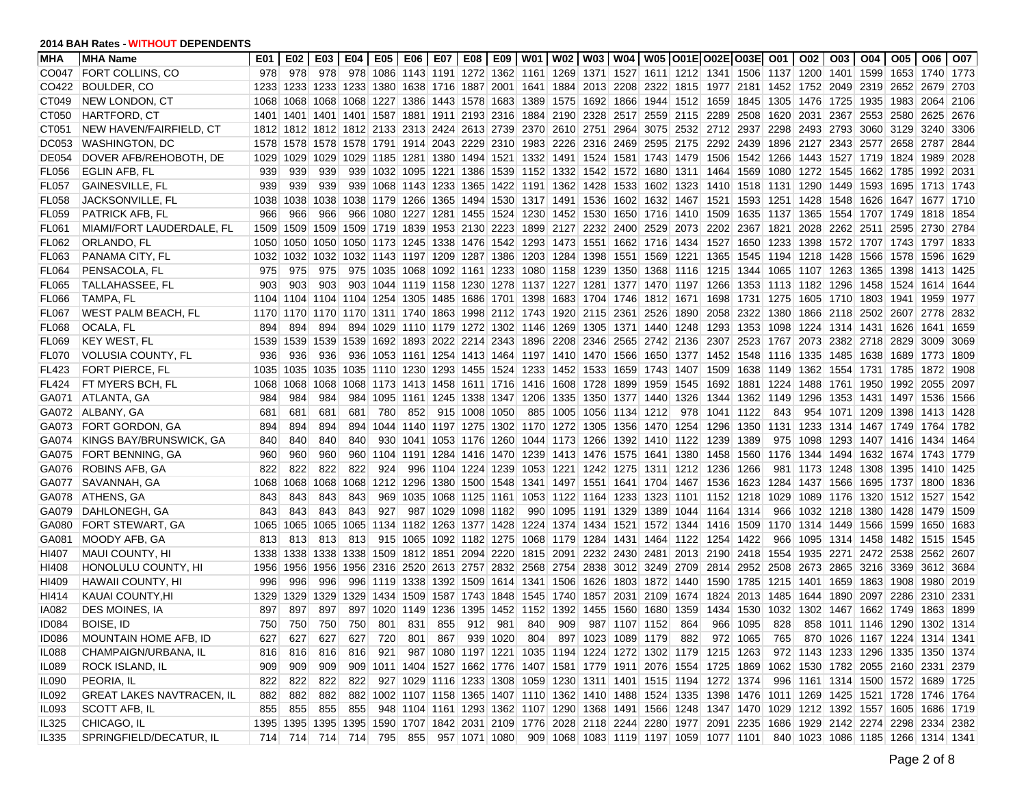| <b>MHA</b>   | <b>MHA Name</b>                  | E01  | E02 I | E03       | E04 I          |           |     |                    |               |      |     |     |                                                                       |                                                                            |      | E05   E06   E07   E08   E09   W01   W02   W03   W04   W05   O01E   O02E   O03E   O01   O02                              |          |                |                | 003 004                                  | O05 I     | O06  | O07    |
|--------------|----------------------------------|------|-------|-----------|----------------|-----------|-----|--------------------|---------------|------|-----|-----|-----------------------------------------------------------------------|----------------------------------------------------------------------------|------|-------------------------------------------------------------------------------------------------------------------------|----------|----------------|----------------|------------------------------------------|-----------|------|--------|
|              | CO047 FORT COLLINS, CO           | 978  | 978   | 978       |                |           |     |                    |               |      |     |     |                                                                       |                                                                            |      | 978 1086 1143 1191 1272 1362 1161 1269 1371 1527 1611 1212 1341 1506 1137 1200 1401 1599 1653 1740                      |          |                |                |                                          |           |      | 1773   |
| CO422        | <b>BOULDER, CO</b>               | 1233 |       |           | 1233 1233 1233 |           |     |                    |               |      |     |     |                                                                       |                                                                            |      | 1380 1638 1716 1887 2001 1641 1884 2013 2208 2322 1815 1977 2181 1452 1752 2049 2319 2652 2679                          |          |                |                |                                          |           |      | 2703   |
| CT049        | <b>NEW LONDON, CT</b>            | 1068 |       |           |                |           |     |                    |               |      |     |     |                                                                       | 1068 1068 1068 1227 1386 1443 1578 1683 1389 1575 1692 1866 1944 1512 1659 |      |                                                                                                                         |          |                |                | 1845  1305  1476  1725  1935  1983  2064 |           |      | 2106   |
| CT050        | <b>HARTFORD, CT</b>              | 1401 |       |           |                |           |     |                    |               |      |     |     |                                                                       | 1401 1401 1401 1587 1881 1911 2193 2316 1884 2190 2328 2517 2559 2115      |      | 2289 2508 1620 2031                                                                                                     |          |                |                | 2367 2553 2580 2625                      |           |      | 2676   |
| CT051        | NEW HAVEN/FAIRFIELD, CT          |      |       |           |                |           |     |                    |               |      |     |     |                                                                       |                                                                            |      | 1812 1812 1812 1812 2133 2313 2424 2613 2739 2370 2610 2751 2964 3075 2532 2712 2937 2298 2493 2793 3060 3129           |          |                |                |                                          |           | 3240 | 3306   |
| <b>DC053</b> | WASHINGTON, DC                   |      |       |           |                |           |     |                    |               |      |     |     |                                                                       | 1578 1578 1578 1578 1791 1914 2043 2229 2310 1983 2226 2316 2469 2595 2175 |      |                                                                                                                         |          |                |                | 2292 2439 1896 2127 2343 2577 2658 2787  |           |      | 2844   |
| DE054        | DOVER AFB/REHOBOTH, DE           | 1029 |       | 1029 1029 | 1029           |           |     |                    |               |      |     |     |                                                                       |                                                                            |      | 1185 1281 1380 1494 1521 1332 1491 1524 1581 1743 1479 1506 1542 1266 1443 1527 1719 1824 1989                          |          |                |                |                                          |           |      | 2028   |
| FL056        | EGLIN AFB, FL                    | 939  | 939   | 939       | 939            |           |     |                    |               |      |     |     |                                                                       |                                                                            |      | 1032 1095 1221 1386 1539 1152 1332 1542 1572 1680 1311 1464 1569 1080 1272 1545 1662 1785 1992                          |          |                |                |                                          |           |      | 2031   |
| FL057        | GAINESVILLE, FL                  | 939  | 939   | 939       | 939            |           |     |                    |               |      |     |     |                                                                       |                                                                            |      | 1068 1143 1233 1365 1422 1191 1362 1428 1533 1602 1323 1410 1518 1131 1290 1449 1593 1695 1713                          |          |                |                |                                          |           |      | ∣ 1743 |
| FL058        | <b>JACKSONVILLE, FL</b>          | 1038 | 1038  | 1038      |                |           |     |                    |               |      |     |     |                                                                       |                                                                            |      | 1038 1179 1266 1365 1494 1530 1317 1491 1536 1602 1632 1467 1521 1593 1251 1428 1548 1626 1647 1677                     |          |                |                |                                          |           |      | 1710   |
| FL059        | <b>PATRICK AFB. FL</b>           | 966  | 966   | 966       | 966            |           |     |                    |               |      |     |     |                                                                       |                                                                            |      | 1080 1227 1281 1455 1524 1230 1452 1530 1650 1716 1410 1509 1635 1137 1365 1554 1707 1749                               |          |                |                |                                          |           | 1818 | 1854   |
| FL061        | MIAMI/FORT LAUDERDALE, FL        | 1509 |       |           |                |           |     |                    |               |      |     |     |                                                                       | 1509 1509 1509 1719 1839 1953 2130 2223 1899 2127 2232 2400 2529 2073      |      |                                                                                                                         |          | 2202 2367 1821 | 2028 2262 2511 |                                          | 2595      | 2730 | 2784   |
| FL062        | ORLANDO, FL                      | 1050 |       |           |                |           |     |                    |               |      |     |     |                                                                       |                                                                            |      | 1050 1050 1050 1173 1245 1338 1476 1542 1293 1473 1551 1662 1716 1434 1527 1650 1233 1398 1572 1707 1743 1797 1833      |          |                |                |                                          |           |      |        |
| FL063        | PANAMA CITY, FL                  | 1032 |       |           |                |           |     |                    |               |      |     |     |                                                                       |                                                                            |      | 1032 1032 1032 1143 1197 1209 1287 1386 1203 1284 1398 1551 1569 1221 1365 1545 1194 1218 1428 1566 1578 1596           |          |                |                |                                          |           |      | 1629   |
| FL064        | PENSACOLA, FL                    | 975  | 975   | 975       |                |           |     |                    |               |      |     |     |                                                                       | 975 1035 1068 1092 1161 1233 1080 1158 1239 1350 1368 1116                 |      |                                                                                                                         |          |                |                | 1215 1344 1065 1107 1263 1365 1398 1413  |           |      | 1425   |
| FL065        | TALLAHASSEE, FL                  | 903  | 903   | 903       | 903            |           |     |                    |               |      |     |     |                                                                       | 1044 1119 1158 1230 1278 1137 1227 1281 1377 1470 1197                     |      |                                                                                                                         |          |                |                | 1266 1353 1113 1182 1296 1458 1524 1614  |           |      | 1644   |
| <b>FL066</b> | TAMPA, FL                        |      |       |           |                |           |     |                    |               |      |     |     |                                                                       | 1104 1104 1104 1104 1254 1305 1485 1686 1701 1398 1683 1704 1746 1812 1671 |      |                                                                                                                         |          |                |                | 1698 1731 1275 1605 1710 1803 1941 1959  |           |      | 1977   |
| FL067        | <b>WEST PALM BEACH, FL</b>       |      |       |           |                |           |     |                    |               |      |     |     | 1170 1170 1170 1170 1311 1740 1863 1998 2112 1743 1920 2115 2361 2526 |                                                                            |      | 1890 2058                                                                                                               |          |                |                | 2322 1380 1866 2118 2502 2607 2778       |           |      | 2832   |
| <b>FL068</b> | OCALA, FL                        | 894  | 894   | 894       |                |           |     |                    |               |      |     |     |                                                                       |                                                                            |      | 894 1029 1110 1179 1272 1302 1146 1269 1305 1371 1440 1248 1293 1353 1098 1224 1314 1431 1626 1641                      |          |                |                |                                          |           |      | 1659   |
| <b>FL069</b> | <b>KEY WEST, FL</b>              | 1539 |       | 1539 1539 | 1539           |           |     |                    |               |      |     |     |                                                                       |                                                                            |      | 1692 1893 2022 2214 2343 1896 2208 2346 2565 2742 2136 2307 2523 1767 2073 2382 2718 2829 3009                          |          |                |                |                                          |           |      | 3069   |
| FL070        | <b>VOLUSIA COUNTY, FL</b>        | 936  | 936   | 936       | 936            |           |     |                    |               |      |     |     |                                                                       |                                                                            |      | 1053 1161 1254 1413 1464 1197 1410 1470 1566 1650 1377 1452 1548 1116 1335 1485 1638 1689 1773                          |          |                |                |                                          |           |      | 1809   |
| FL423        | <b>FORT PIERCE, FL</b>           | 1035 |       |           |                |           |     |                    |               |      |     |     |                                                                       | 1035 1035 1035 1110 1230 1293 1455 1524 1233 1452 1533 1659 1743 1407      |      |                                                                                                                         |          |                |                | 1509 1638 1149 1362 1554 1731 1785 1872  |           |      | 1908   |
| <b>FL424</b> | FT MYERS BCH, FL                 | 1068 | 1068  | 1068      | 1068           |           |     |                    |               |      |     |     | 1173 1413 1458 1611 1716 1416 1608 1728 1899 1959                     |                                                                            | 1545 | 1692                                                                                                                    |          | 1881 1224      | 1488 1761 1950 |                                          | 1992 2055 |      | 2097   |
| GA071        | ATLANTA, GA                      | 984  | 984   | 984       | 984            |           |     |                    |               |      |     |     | 1095 1161 1245 1338 1347 1206 1335 1350 1377 1440                     |                                                                            | 1326 | 1344                                                                                                                    |          | 1362 1149      | 1296           | 1353 1431 1497 1536                      |           |      | 1566   |
| GA072        | ALBANY, GA                       | 681  | 681   | 681       | 681            | 780       | 852 |                    | 915 1008 1050 |      |     |     | 885 1005 1056 1134 1212                                               |                                                                            | 978  | 1041                                                                                                                    | 1122     | 843            |                | 954 1071 1209                            | 1398 1413 |      | 1428   |
| GA073        | <b>FORT GORDON, GA</b>           | 894  | 894   | 894       | 894            |           |     |                    |               |      |     |     |                                                                       | 1044 1140 1197 1275 1302 1170 1272 1305 1356 1470 1254                     |      | 1296                                                                                                                    |          |                |                | 1350 1131 1233 1314 1467 1749 1764       |           |      | 1782   |
| GA074        | KINGS BAY/BRUNSWICK, GA          | 840  | 840   | 840       | 840            |           |     |                    |               |      |     |     |                                                                       | 930 1041 1053 1176 1260 1044 1173 1266 1392 1410 1122 1239                 |      |                                                                                                                         | 1389     |                | 975 1098       | 1293 1407 1416 1434                      |           |      | 1464   |
| GA075        | FORT BENNING, GA                 | 960  | 960   | 960       | 960            |           |     |                    |               |      |     |     |                                                                       |                                                                            |      | 1104 1191 1284 1416 1470 1239 1413 1476 1575 1641 1380 1458 1560 1176 1344 1494 1632 1674 1743                          |          |                |                |                                          |           |      | 1779   |
| GA076        | ROBINS AFB, GA                   | 822  | 822   | 822       | 822            | 924       |     | 996 1104 1224 1239 |               |      |     |     | 1053 1221 1242 1275 1311                                              |                                                                            |      | 1212 1236                                                                                                               | 1266     |                |                | 981 1173 1248 1308                       | 1395 1410 |      | 1425   |
| GA077        | SAVANNAH, GA                     | 1068 | 1068  | 1068      | 1068           |           |     |                    |               |      |     |     |                                                                       |                                                                            |      | 1212 1296 1380 1500 1548 1341 1497 1551 1641 1704 1467 1536 1623 1284 1437 1566 1695 1737 1800                          |          |                |                |                                          |           |      | 1836   |
| GA078        | ATHENS, GA                       | 843  | 843   | 843       | 843            |           |     |                    |               |      |     |     |                                                                       |                                                                            |      | 969 1035 1068 1125 1161 1053 1122 1164 1233 1323 1101 1152 1218 1029                                                    |          |                |                | 1089 1176 1320 1512 1527                 |           |      | 1542   |
| GA079        | DAHLONEGH, GA                    | 843  | 843   | 843       | 843            | 927       |     | 987 1029 1098 1182 |               |      |     |     |                                                                       |                                                                            |      | 990 1095 1191 1329 1389 1044 1164 1314                                                                                  |          | 966            |                | 1032 1218 1380 1428 1479                 |           |      | 1509   |
| GA080        | FORT STEWART, GA                 | 1065 |       | 1065 1065 |                |           |     |                    |               |      |     |     |                                                                       | 1065 1134 1182 1263 1377 1428 1224 1374 1434 1521 1572 1344                |      | 1416 1509 1170 1314 1449 1566                                                                                           |          |                |                |                                          | 1599      | 1650 | 1683   |
| GA081        | MOODY AFB, GA                    | 813  | 813   | 813       | 813            |           |     |                    |               |      |     |     |                                                                       |                                                                            |      | 915 1065 1092 1182 1275 1068 1179 1284 1431 1464 1122 1254 1422                                                         |          | 966            |                | 1095 1314 1458 1482 1515                 |           |      | 1545   |
| HI407        | <b>MAUI COUNTY, HI</b>           | 1338 |       | 1338 1338 |                |           |     |                    |               |      |     |     |                                                                       | 1338 1509 1812 1851 2094 2220 1815 2091 2232 2430 2481                     |      | 2013 2190 2418 1554 1935 2271 2472 2538 2562                                                                            |          |                |                |                                          |           |      | 2607   |
| HI408        | HONOLULU COUNTY, HI              | 1956 |       | 1956 1956 |                |           |     |                    |               |      |     |     |                                                                       |                                                                            |      | 1956 2316 2520 2613 2757 2832 2568 2754 2838 3012 3249 2709 2814 2952 2508                                              |          |                |                | 2673 2865 3216 3369 3612                 |           |      | 3684   |
| HI409        | <b>HAWAII COUNTY, HI</b>         | 996  | 996   | 996       | 996            |           |     |                    |               |      |     |     |                                                                       |                                                                            |      | 1119 1338 1392 1509 1614 1341 1506 1626 1803 1872 1440 1590 1785 1215 1401 1659 1863 1908 1980                          |          |                |                |                                          |           |      | 2019   |
| HI414        | KAUAI COUNTY, HI                 | 1329 | 1329  | 1329      | 1329           | 1434 1509 |     |                    |               |      |     |     | 1587 1743 1848 1545 1740 1857 2031 2109                               |                                                                            | 1674 | 1824                                                                                                                    |          | 2013 1485      | 1644           | 1890 2097 2286 2310                      |           |      | 2331   |
| IA082        | <b>DES MOINES, IA</b>            | 897  | 897   | 897       | 897            | 1020 1149 |     |                    | 1236 1395     | 1452 |     |     | 1152 1392 1455 1560 1680                                              |                                                                            | 1359 | 1434                                                                                                                    |          | 1530 1032      |                | 1302 1467 1662 1749                      |           | 1863 | 1899   |
| ID084        | <b>BOISE, ID</b>                 | 750  | 750   | 750       | 750            | 801       | 831 | 855                | 912           | 981  | 840 | 909 |                                                                       | 987 1107 1152                                                              | 864  |                                                                                                                         | 966 1095 | 828            |                | 858 1011 1146 1290 1302 1314             |           |      |        |
| ID086        | MOUNTAIN HOME AFB, ID            | 627  | 627   | 627       | 627            |           |     |                    |               |      |     |     |                                                                       |                                                                            |      | 720 801 867 939 1020 804 897 1023 1089 1179 882 972 1065 765 870 1026 1167 1224 1314 1341                               |          |                |                |                                          |           |      |        |
| IL088        | CHAMPAIGN/URBANA, IL             | 816  | 816   | 816       | 816            |           |     |                    |               |      |     |     |                                                                       |                                                                            |      | 921 987 1080 1197 1221 1035 1194 1224 1272 1302 1179 1215 1263                                                          |          |                |                | 972 1143 1233 1296 1335 1350 1374        |           |      |        |
| IL089        | ROCK ISLAND, IL                  | 909  | 909   | 909       |                |           |     |                    |               |      |     |     |                                                                       |                                                                            |      | 909 1011 1404 1527 1662 1776 1407 1581 1779 1911 2076 1554 1725 1869 1062 1530 1782 2055 2160 2331 2379                 |          |                |                |                                          |           |      |        |
| <b>IL090</b> | PEORIA, IL                       | 822  | 822   | 822       | 822            |           |     |                    |               |      |     |     |                                                                       |                                                                            |      | 927 1029 1116 1233 1308 1059 1230 1311 1401 1515 1194 1272 1374                                                         |          |                |                | 996 1161 1314 1500 1572 1689 1725        |           |      |        |
| IL092        | <b>GREAT LAKES NAVTRACEN, IL</b> | 882  | 882   | 882       |                |           |     |                    |               |      |     |     |                                                                       |                                                                            |      | 882 1002 1107 1158 1365 1407 1110 1362 1410 1488 1524 1335 1398 1476 1011 1269 1425 1521 1728 1746 1764                 |          |                |                |                                          |           |      |        |
| IL093        | SCOTT AFB, IL                    | 855  | 855   | 855       | 855            |           |     |                    |               |      |     |     |                                                                       |                                                                            |      | 948 1104 1161 1293 1362 1107 1290 1368 1491 1566 1248 1347 1470 1029 1212 1392 1557 1605 1686 1719                      |          |                |                |                                          |           |      |        |
| IL325        | CHICAGO, IL                      |      |       |           |                |           |     |                    |               |      |     |     |                                                                       |                                                                            |      | 1395 1395 1395 1395 1590 1707 1842 2031 2109 1776 2028 2118 2244 2280 1977 2091 2235 1686 1929 2142 2274 2298 2334 2382 |          |                |                |                                          |           |      |        |
| IL335        | SPRINGFIELD/DECATUR, IL          |      |       |           |                |           |     |                    |               |      |     |     |                                                                       |                                                                            |      | 714 714 714 714 795 855 957 1071 1080 909 1068 1083 1119 1197 1059 1077 1101                                            |          |                |                | 840 1023 1086 1185 1266 1314 1341        |           |      |        |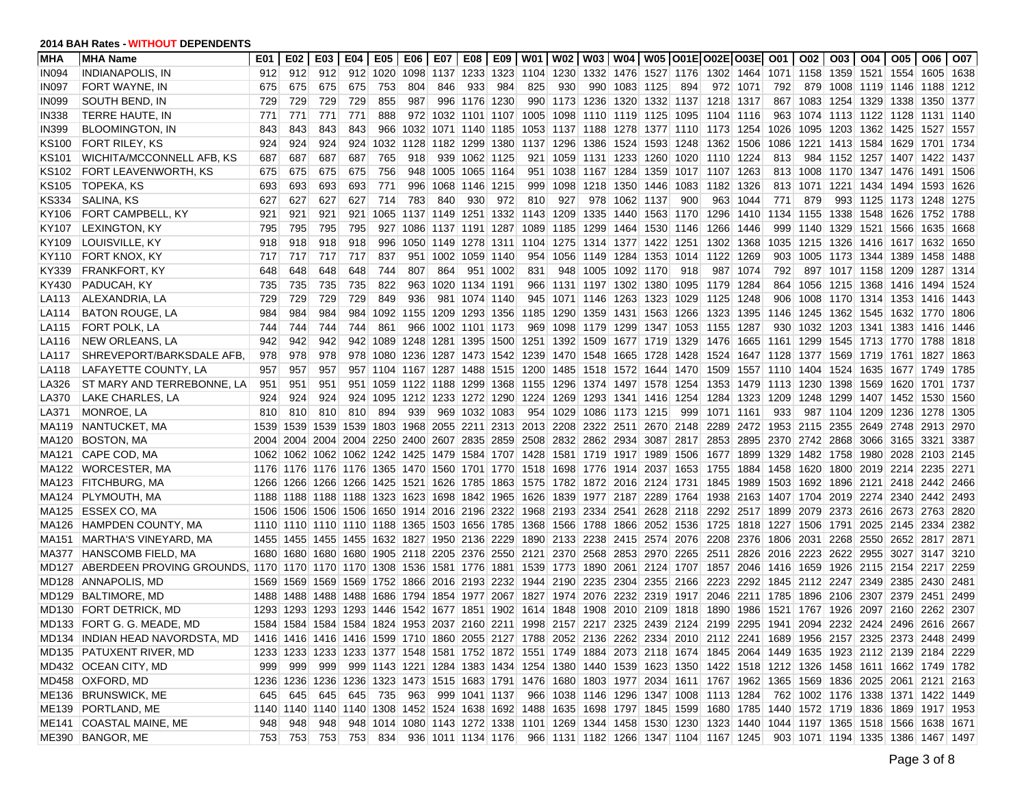| <b>MHA</b>        | <b>MHA Name</b>                                                        | E01  |         | E02   E03 | E04 I          |                                              | E05   E06 | E07 | E08   E09                |      |     |     |                                                                       |               | W01   W02   W03   W04   W05  O01E O02E O03E  O01                                                                        |      |                                              |          |                                  | O02 |                     | 003   004   005                          | O06                               | <b>O07</b> |
|-------------------|------------------------------------------------------------------------|------|---------|-----------|----------------|----------------------------------------------|-----------|-----|--------------------------|------|-----|-----|-----------------------------------------------------------------------|---------------|-------------------------------------------------------------------------------------------------------------------------|------|----------------------------------------------|----------|----------------------------------|-----|---------------------|------------------------------------------|-----------------------------------|------------|
| <b>IN094</b>      | <b>INDIANAPOLIS, IN</b>                                                | 912  | 912     | 912       | 912            | 1020 1098                                    |           |     | 1137 1233 1323           |      |     |     |                                                                       |               | 1104 1230 1332 1476 1527 1176 1302 1464 1071 1158 1359 1521 1554 1605                                                   |      |                                              |          |                                  |     |                     |                                          |                                   | 1638       |
| <b>IN097</b>      | FORT WAYNE. IN                                                         | 675  | 675     | 675       | 675            | 753                                          | 804       | 846 | 933                      | 984  | 825 | 930 |                                                                       | 990 1083 1125 |                                                                                                                         | 894  |                                              | 972 1071 | 792                              |     |                     | 879 1008 1119 1146 1188                  |                                   | 1212       |
| <b>IN099</b>      | SOUTH BEND. IN                                                         | 729  | 729     | 729       | 729            | 855                                          | 987       |     | 996 1176 1230            |      |     |     |                                                                       |               | 990 1173 1236 1320 1332 1137 1218 1317                                                                                  |      |                                              |          | 867                              |     |                     | 1083 1254 1329 1338 1350                 |                                   | 1377       |
| <b>IN338</b>      | TERRE HAUTE, IN                                                        | 771  | 771     | 771       | 771            | 888                                          |           |     | 972 1032 1101 1107       |      |     |     | 1005 1098 1110 1119 1125                                              |               |                                                                                                                         | 1095 | 1104 1116                                    |          | 963                              |     |                     | 1074 1113 1122 1128 1131                 |                                   | 1140       |
| <b>IN399</b>      | <b>BLOOMINGTON, IN</b>                                                 | 843  | 843     | 843       | 843            | 966                                          |           |     | 1032  1071  1140  1185   |      |     |     |                                                                       |               | 1053 1137 1188 1278 1377 1110 1173 1254                                                                                 |      |                                              |          | 1026                             |     |                     | 1095   1203   1362   1425   1527         |                                   | 1557       |
| <b>KS100</b>      | <b>FORT RILEY, KS</b>                                                  | 924  | 924     | 924       | 924            | 1032 1128                                    |           |     | 1182 1299                | 1380 |     |     | 1137 1296 1386 1524 1593                                              |               |                                                                                                                         | 1248 | 1362 1506                                    |          | 1086                             |     | 1221 1413 1584 1629 |                                          | 1701                              | 1734       |
| KS <sub>101</sub> | <b>WICHITA/MCCONNELL AFB, KS</b>                                       | 687  | 687     | 687       | 687            | 765                                          | 918       |     | 939 1062 1125            |      |     |     | 921 1059 1131 1233 1260                                               |               |                                                                                                                         |      | 1020 1110 1224                               |          | 813                              |     |                     | 984 1152 1257 1407 1422                  |                                   | 1437       |
| <b>KS102</b>      | <b>FORT LEAVENWORTH, KS</b>                                            | 675  | 675     | 675       | 675            | 756                                          | 948       |     | 1005 1065 1164           |      |     |     | 951 1038 1167 1284 1359                                               |               |                                                                                                                         |      | 1017 1107 1263                               |          | 813                              |     |                     | 1008 1170 1347 1476 1491                 |                                   | 1506       |
| KS105             | <b>TOPEKA, KS</b>                                                      | 693  | 693     | 693       | 693            | 771                                          | 996       |     | 1068 1146 1215           |      |     |     | 999 1098 1218 1350 1446                                               |               |                                                                                                                         |      | 1083 1182 1326                               |          | 813                              |     |                     | 1071   1221   1434   1494   1593         |                                   | 1626       |
| KS334             | SALINA, KS                                                             | 627  | 627     | 627       | 627            | 714                                          | 783       | 840 | 930                      | 972  | 810 | 927 |                                                                       | 978 1062 1137 |                                                                                                                         | 900  |                                              | 963 1044 | 771                              | 879 |                     | 993 1125 1173 1248                       |                                   | 1275       |
| KY106             | FORT CAMPBELL, KY                                                      | 921  | 921     | 921       | 921            |                                              |           |     |                          |      |     |     |                                                                       |               | 1065 1137 1149 1251 1332 1143 1209 1335 1440 1563 1170                                                                  |      | 1296 1410 1134                               |          |                                  |     |                     | 1155 1338 1548 1626 1752                 |                                   | 1788       |
| KY107             | <b>LEXINGTON, KY</b>                                                   | 795  | 795     | 795       | 795            |                                              |           |     | 927 1086 1137 1191 1287  |      |     |     | 1089 1185 1299 1464 1530                                              |               |                                                                                                                         | 1146 | 1266                                         | 1446     | 999                              |     | 1140 1329 1521 1566 |                                          | 1635                              | 1668       |
| KY109             | LOUISVILLE, KY                                                         | 918  | 918     | 918       | 918            |                                              |           |     | 996 1050 1149 1278 1311  |      |     |     |                                                                       |               | 1104 1275 1314 1377 1422 1251                                                                                           |      | 1302                                         | 1368     | 1035                             |     |                     | 1215   1326   1416   1617   1632         |                                   | 1650       |
| KY110             | FORT KNOX, KY                                                          | 717  | 717     | 717       | 717            | 837                                          |           |     | 951 1002 1059 1140       |      |     |     | 954 1056 1149 1284 1353                                               |               |                                                                                                                         |      | 1014 1122                                    | 1269     | 903                              |     |                     | 1005 1173 1344 1389 1458                 |                                   | 1488       |
| KY339             | FRANKFORT, KY                                                          | 648  | 648     | 648       | 648            | 744                                          | 807       | 864 | 951                      | 1002 | 831 |     | 948 1005 1092 1170                                                    |               |                                                                                                                         | 918  | 987                                          | 1074     | 792                              |     | 897 1017 1158 1209  |                                          | 1287                              | 1314       |
| KY430             | PADUCAH, KY                                                            | 735  | 735     | 735       | 735            | 822                                          | 963       |     | 1020 1134 1191           |      |     |     | 966 1131 1197 1302 1380                                               |               |                                                                                                                         | 1095 | 1179                                         | 1284     | 864                              |     |                     | 1056 1215 1368 1416 1494                 |                                   | 1524       |
| LA113             | ALEXANDRIA, LA                                                         | 729  | 729     | 729       | 729            | 849                                          | 936       |     | 981 1074 1140            |      |     |     | 945 1071 1146 1263 1323                                               |               |                                                                                                                         | 1029 | 1125                                         | 1248     | 906                              |     |                     | 1008 1170 1314 1353 1416                 |                                   | 1443       |
| LA114             | <b>BATON ROUGE, LA</b>                                                 | 984  | 984     | 984       | 984            | 1092 1155                                    |           |     | 1209 1293 1356           |      |     |     | 1185 1290 1359 1431 1563                                              |               |                                                                                                                         | 1266 | 1323                                         | 1395     | 1146                             |     |                     | 1245   1362   1545   1632   1770         |                                   | 1806       |
| LA115             | <b>FORT POLK. LA</b>                                                   | 744  | 744     | 744       | 744            | 861                                          | 966       |     | 1002 1101 1173           |      |     |     |                                                                       |               | 969 1098 1179 1299 1347 1053 1155 1287                                                                                  |      |                                              |          | 930                              |     |                     | 1032   1203   1341   1383   1416         |                                   | 1446       |
| LA116             | NEW ORLEANS, LA                                                        | 942  | 942     | 942       |                | 942 1089 1248 1281 1395 1500                 |           |     |                          |      |     |     | 1251 1392 1509 1677 1719                                              |               |                                                                                                                         |      | 1329 1476 1665 1161 1299 1545 1713 1770 1788 |          |                                  |     |                     |                                          |                                   | 1818       |
| LA117             | SHREVEPORT/BARKSDALE AFB.                                              | 978  | 978     | 978       |                | 978 1080 1236 1287 1473 1542                 |           |     |                          |      |     |     |                                                                       |               | 1239 1470 1548 1665 1728 1428 1524                                                                                      |      |                                              |          |                                  |     |                     | 1647  1128  1377  1569  1719  1761  1827 |                                   | 1863       |
| LA118             | LAFAYETTE COUNTY, LA                                                   | 957  | 957     | 957       |                | 957 1104 1167 1287 1488 1515                 |           |     |                          |      |     |     |                                                                       |               | 1200 1485 1518 1572 1644 1470 1509 1557 1110 1404 1524 1635 1677 1749                                                   |      |                                              |          |                                  |     |                     |                                          |                                   | 1785       |
| LA326             | ST MARY AND TERREBONNE, LA                                             | 951  | 951     | 951       | 951            |                                              |           |     | 1059 1122 1188 1299 1368 |      |     |     |                                                                       |               | 1155 1296 1374 1497 1578 1254                                                                                           |      | 1353                                         |          | 1479 1113 1230 1398 1569 1620    |     |                     |                                          | 1701                              | 1737       |
| LA370             | LAKE CHARLES, LA                                                       | 924  | 924     | 924       | 924            |                                              |           |     | 1095 1212 1233 1272 1290 |      |     |     | 1224 1269 1293 1341 1416                                              |               |                                                                                                                         | 1254 | 1284                                         |          | 1323 1209                        |     |                     | 1248 1299 1407 1452 1530                 |                                   | 1560       |
| LA371             | MONROE, LA                                                             | 810  | 810     | 810       | 810            | 894                                          | 939       |     | 969 1032 1083            |      |     |     | 954 1029 1086 1173 1215                                               |               |                                                                                                                         | 999  | 1071                                         | 1161     | 933                              |     |                     | 987 1104 1209 1236                       | 1278                              | 1305       |
| <b>MA119</b>      | NANTUCKET, MA                                                          | 1539 | 1539    | 1539      | 1539           |                                              |           |     |                          |      |     |     |                                                                       |               | 1803 1968 2055 2211 2313 2013 2208 2322 2511 2670 2148                                                                  |      | 2289                                         |          | 2472 1953 2115 2355 2649 2748    |     |                     |                                          | 2913                              | 2970       |
| MA120             | <b>BOSTON, MA</b>                                                      | 2004 |         |           |                |                                              |           |     |                          |      |     |     |                                                                       |               | 2004 2004 2004 2250 2400 2607 2835 2859 2508 2832 2862 2934 3087 2817                                                   |      | 2853 2895 2370 2742 2868 3066 3165 3321      |          |                                  |     |                     |                                          |                                   | 3387       |
| MA121             | CAPE COD, MA                                                           |      |         |           |                |                                              |           |     |                          |      |     |     | 1062 1062 1062 1062 1242 1425 1479 1584 1707 1428 1581 1719 1917 1989 |               |                                                                                                                         | 1506 | 1677                                         |          |                                  |     |                     | 1899 1329 1482 1758 1980 2028            | 2103                              | 2145       |
| MA122             | WORCESTER, MA                                                          |      |         |           |                |                                              |           |     |                          |      |     |     |                                                                       |               | 1176 1176 1176 1176 1365 1470 1560 1701 1770 1518 1698 1776 1914 2037 1653 1755                                         |      |                                              |          | 1884 1458                        |     |                     | 1620 1800 2019 2214 2235                 |                                   | 2271       |
| MA123             | <b>FITCHBURG, MA</b>                                                   |      |         |           |                |                                              |           |     |                          |      |     |     |                                                                       |               | 1266 1266 1266 1266 1425 1521 1626 1785 1863 1575 1782 1872 2016 2124 1731 1845 1989 1503                               |      |                                              |          |                                  |     |                     | 1692   1896   2121   2418   2442         |                                   | 2466       |
|                   | MA124 PLYMOUTH, MA                                                     |      |         |           |                |                                              |           |     |                          |      |     |     |                                                                       |               | 1188 1188 1188 1188 1323 1623 1698 1842 1965 1626 1839 1977 2187 2289 1764 1938 2163 1407 1704 2019 2274 2340 2442 2493 |      |                                              |          |                                  |     |                     |                                          |                                   |            |
| MA125             | ESSEX CO, MA                                                           |      |         |           |                |                                              |           |     |                          |      |     |     |                                                                       |               | 1506 1506 1506 1506 1650 1914 2016 2196 2322 1968 2193 2334 2541 2628 2118 2292 2517 1899 2079 2373 2616 2673 2763      |      |                                              |          |                                  |     |                     |                                          |                                   | 2820       |
| MA126             | HAMPDEN COUNTY, MA                                                     |      |         |           |                | 1110 1110 1110 1110 1188 1365 1503 1656 1785 |           |     |                          |      |     |     |                                                                       |               | 1368 1566 1788 1866 2052 1536 1725                                                                                      |      |                                              |          |                                  |     |                     | 1818 1227 1506 1791 2025 2145            | 2334                              | 2382       |
| <b>MA151</b>      | MARTHA'S VINEYARD, MA                                                  | 1455 |         |           |                |                                              |           |     |                          |      |     |     |                                                                       |               | 1455 1455 1455 1632 1827 1950 2136 2229 1890 2133 2238 2415 2574 2076 2208                                              |      |                                              |          |                                  |     |                     | 2376 1806 2031 2268 2550 2652            | 2817                              | 2871       |
| MA377             | <b>HANSCOMB FIELD, MA</b>                                              |      |         |           |                |                                              |           |     |                          |      |     |     |                                                                       |               | 1680 1680 1680 1680 1905 2118 2205 2376 2550 2121 2370 2568 2853 2970 2265                                              |      | 2511                                         |          |                                  |     |                     | 2826 2016 2223 2622 2955 3027 3147       |                                   | 3210       |
| MD127             | ABERDEEN PROVING GROUNDS, 1170 1170 1170 1170 1308 1536 1581 1776 1881 |      |         |           |                |                                              |           |     |                          |      |     |     |                                                                       |               | 1539 1773 1890 2061 2124 1707                                                                                           |      | 1857                                         |          |                                  |     |                     | 2046 1416 1659 1926 2115 2154 2217       |                                   | 2259       |
| MD128             | ANNAPOLIS, MD                                                          |      |         |           |                | 1569 1569 1569 1569 1752 1866 2016 2193 2232 |           |     |                          |      |     |     |                                                                       |               | 1944 2190 2235 2304 2355 2166                                                                                           |      | 2223                                         |          |                                  |     |                     | 2292 1845 2112 2247 2349 2385 2430       |                                   | 2481       |
| MD129             | <b>BALTIMORE, MD</b>                                                   | 1488 |         |           | 1488 1488 1488 |                                              |           |     |                          |      |     |     |                                                                       |               | 1686 1794 1854 1977 2067 1827 1974 2076 2232 2319 1917                                                                  |      | 2046                                         |          | 2211 1785                        |     |                     | 1896 2106 2307 2379                      | 2451                              | 2499       |
| MD130             | <b>FORT DETRICK, MD</b>                                                | 1293 |         |           |                | 1293 1293 1293 1446 1542 1677 1851 1902      |           |     |                          |      |     |     |                                                                       |               | 1614 1848 1908 2010 2109                                                                                                | 1818 | 1890                                         | 1986     | 1521   1767   1926   2097   2160 |     |                     |                                          | 2262                              | 2307       |
|                   | MD133 FORT G. G. MEADE, MD                                             |      |         |           |                |                                              |           |     |                          |      |     |     |                                                                       |               | 1584 1584 1584 1584 1824 1953 2037 2160 2211 1998 2157 2217 2325 2439 2124 2199 2295 1941 2094 2232 2424 2496           |      |                                              |          |                                  |     |                     |                                          | 2616                              | 2667       |
|                   | MD134  INDIAN HEAD NAVORDSTA, MD                                       |      |         |           |                |                                              |           |     |                          |      |     |     |                                                                       |               | 1416 1416 1416 1416 1599 1710 1860 2055 2127 1788 2052 2136 2262 2334 2010 2112 2241 1689 1956 2157 2325 2373 2448 2499 |      |                                              |          |                                  |     |                     |                                          |                                   |            |
|                   | MD135 PATUXENT RIVER, MD                                               |      |         |           |                |                                              |           |     |                          |      |     |     |                                                                       |               | 1233 1233 1233 1233 1377 1548 1581 1752 1872 1551 1749 1884 2073 2118 1674 1845 2064 1449 1635 1923 2112 2139 2184 2229 |      |                                              |          |                                  |     |                     |                                          |                                   |            |
|                   | MD432 OCEAN CITY, MD                                                   | 999  | 999     | 999       |                |                                              |           |     |                          |      |     |     |                                                                       |               | 999 1143 1221 1284 1383 1434 1254 1380 1440 1539 1623 1350 1422 1518 1212 1326 1458 1611 1662 1749 1782                 |      |                                              |          |                                  |     |                     |                                          |                                   |            |
|                   | MD458 OXFORD, MD                                                       |      |         |           |                |                                              |           |     |                          |      |     |     |                                                                       |               | 1236 1236 1236 1236 1323 1473 1515 1683 1791 1476 1680 1803 1977 2034 1611 1767 1962 1365 1569 1836 2025 2061 2121 2163 |      |                                              |          |                                  |     |                     |                                          |                                   |            |
|                   | ME136 BRUNSWICK, ME                                                    |      | 645 645 | 645       |                | 645 735 963 999 1041 1137                    |           |     |                          |      |     |     |                                                                       |               | 966 1038 1146 1296 1347 1008 1113 1284                                                                                  |      |                                              |          |                                  |     |                     |                                          | 762 1002 1176 1338 1371 1422 1449 |            |
|                   | ME139 PORTLAND, ME                                                     |      |         |           |                |                                              |           |     |                          |      |     |     |                                                                       |               | 1140 1140 1140 1140 1308 1452 1524 1638 1692 1488 1635 1698 1797 1845 1599 1680 1785 1440 1572 1719 1836 1869 1917 1953 |      |                                              |          |                                  |     |                     |                                          |                                   |            |
|                   | ME141 COASTAL MAINE, ME                                                | 948  | 948     | 948       |                |                                              |           |     |                          |      |     |     |                                                                       |               | 948 1014 1080 1143 1272 1338 1101 1269 1344 1458 1530 1230 1323 1440 1044 1197 1365 1518 1566 1638 1671                 |      |                                              |          |                                  |     |                     |                                          |                                   |            |
|                   | ME390 BANGOR, ME                                                       |      | 753 753 | 753       |                |                                              |           |     |                          |      |     |     |                                                                       |               | 753 834 936 1011 1134 1176 966 1131 1182 1266 1347 1104 1167 1245 903 1071 1194 1335 1386 1467 1497                     |      |                                              |          |                                  |     |                     |                                          |                                   |            |
|                   |                                                                        |      |         |           |                |                                              |           |     |                          |      |     |     |                                                                       |               |                                                                                                                         |      |                                              |          |                                  |     |                     |                                          |                                   |            |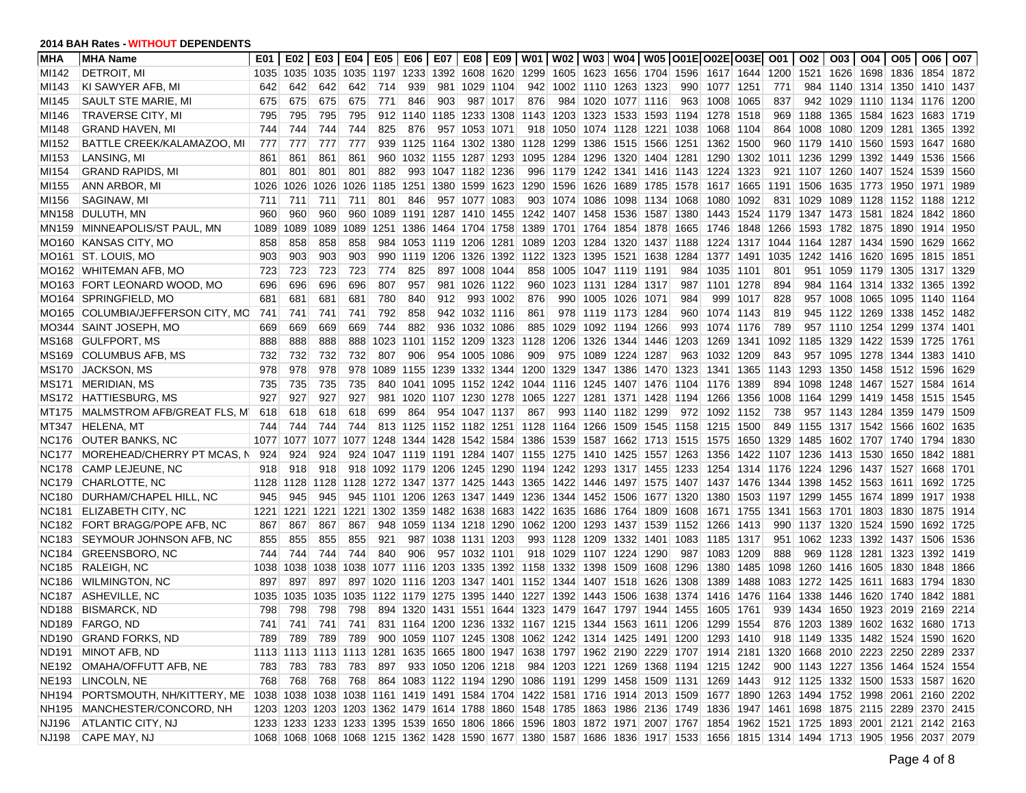| MHA               | <b>MHA Name</b>                                                                                                                                          | E01  | E02  | E03            | E04  | E05   E06                               |           | E07 |                          | E08   E09 |                               |                                                       | W01   W02   W03   W04   W05   O01E   O02E   O03E   O01   O02                                                            |      |                               |                |      |           | O <sub>03</sub> | $\overline{004}$                   | O05                                      | O06       | O07  |
|-------------------|----------------------------------------------------------------------------------------------------------------------------------------------------------|------|------|----------------|------|-----------------------------------------|-----------|-----|--------------------------|-----------|-------------------------------|-------------------------------------------------------|-------------------------------------------------------------------------------------------------------------------------|------|-------------------------------|----------------|------|-----------|-----------------|------------------------------------|------------------------------------------|-----------|------|
| MI142             | <b>DETROIT, MI</b>                                                                                                                                       | 1035 |      | 1035 1035      | 1035 | 1197 1233                               |           |     | 1392 1608 1620           |           |                               |                                                       | 1299 1605 1623 1656 1704 1596 1617 1644 1200                                                                            |      |                               |                |      |           |                 |                                    | 1521   1626   1698   1836   1854         |           | 1872 |
| MI143             | KI SAWYER AFB, MI                                                                                                                                        | 642  | 642  | 642            | 642  | 714                                     | 939       |     | 981 1029 1104            |           |                               | 942 1002 1110 1263 1323                               |                                                                                                                         | 990  | 1077 1251                     |                | 771  |           |                 |                                    | 984 1140 1314 1350 1410                  |           | 1437 |
| MI145             | SAULT STE MARIE, MI                                                                                                                                      | 675  | 675  | 675            | 675  | 771                                     | 846       | 903 |                          | 987 1017  | 876                           | 984 1020 1077 1116                                    |                                                                                                                         | 963  | 1008 1065                     |                | 837  | 942       |                 |                                    | 1029 1110 1134 1176                      |           | 1200 |
| MI146             | TRAVERSE CITY, MI                                                                                                                                        | 795  | 795  | 795            | 795  |                                         | 912 1140  |     | 1185 1233 1308           |           |                               | 1143 1203 1323 1533 1593                              |                                                                                                                         | 1194 | 1278                          | 1518           | 969  | 1188      |                 |                                    | 1365   1584   1623   1683                |           | 1719 |
| MI148             | <b>GRAND HAVEN, MI</b>                                                                                                                                   | 744  | 744  | 744            | 744  | 825                                     | 876       |     | 957 1053 1071            |           | 918                           | 1050 1074 1128 1221                                   |                                                                                                                         | 1038 | 1068                          | 1104           | 864  | 1008      |                 | 1080 1209                          | 1281 1365                                |           | 1392 |
| MI152             | BATTLE CREEK/KALAMAZOO, MI                                                                                                                               | 777  | 777  | 777            | 777  |                                         |           |     | 939 1125 1164 1302 1380  |           | 1128                          | 1299 1386 1515 1566                                   |                                                                                                                         | 1251 | 1362                          | 1500           |      | 960 1179  |                 | 1410 1560                          | 1593 1647                                |           | 1680 |
| MI153             | LANSING, MI                                                                                                                                              | 861  | 861  | 861            | 861  |                                         |           |     | 960 1032 1155 1287 1293  |           |                               | 1095 1284 1296 1320 1404                              |                                                                                                                         | 1281 | 1290                          | 1302           |      | 1011 1236 |                 |                                    | 1299 1392 1449 1536                      |           | 1566 |
| MI154             | <b>GRAND RAPIDS, MI</b>                                                                                                                                  | 801  | 801  | 801            | 801  | 882                                     |           |     | 993 1047 1182 1236       |           |                               |                                                       | 996 1179 1242 1341 1416 1143                                                                                            |      | 1224                          | 1323           | 921  | 1107      |                 |                                    | 1260 1407 1524 1539                      |           | 1560 |
| MI155             | ANN ARBOR, MI                                                                                                                                            | 1026 | 1026 | 1026           | 1026 |                                         |           |     | 1185 1251 1380 1599 1623 |           |                               | 1290 1596 1626 1689 1785                              |                                                                                                                         | 1578 |                               | 1617 1665 1191 |      | 1506      |                 | 1635 1773 1950                     |                                          | 1971      | 1989 |
| MI156             | SAGINAW, MI                                                                                                                                              | 711  | 711  | 711            | 711  | 801                                     | 846       |     | 957 1077 1083            |           |                               | 903 1074 1086 1098 1134                               |                                                                                                                         | 1068 | 1080                          | 1092           | 831  | 1029      |                 |                                    | 1089 1128 1152 1188                      |           | 1212 |
| <b>MN158</b>      | DULUTH, MN                                                                                                                                               | 960  | 960  | 960            | 960  |                                         |           |     | 1089 1191 1287 1410 1455 |           |                               | 1242 1407 1458 1536 1587                              |                                                                                                                         | 1380 | 1443 1524 1179 1347 1473 1581 |                |      |           |                 |                                    | 1824 1842                                |           | 1860 |
| MN159             | MINNEAPOLIS/ST PAUL, MN                                                                                                                                  | 1089 | 1089 | 1089           | 1089 |                                         | 1251 1386 |     | 1464 1704 1758           |           | 1389                          | 1701 1764 1854 1878                                   |                                                                                                                         | 1665 | 1746                          | 1848           | 1266 | 1593      |                 | 1782 1875                          | 1890 1914                                |           | 1950 |
| MO160             | <b>KANSAS CITY, MO</b>                                                                                                                                   | 858  | 858  | 858            | 858  |                                         |           |     | 984 1053 1119 1206 1281  |           | 1089                          |                                                       | 1203 1284 1320 1437 1188                                                                                                |      |                               | 1224 1317 1044 |      |           |                 |                                    | 1164 1287 1434 1590 1629                 |           | 1662 |
| MO <sub>161</sub> | <b>ST. LOUIS, MO</b>                                                                                                                                     | 903  | 903  | 903            | 903  |                                         | 990 1119  |     | 1206 1326 1392           |           |                               | 1122 1323 1395 1521 1638                              |                                                                                                                         | 1284 |                               | 1377 1491 1035 |      |           |                 | 1242 1416 1620                     | 1695 1815                                |           | 1851 |
|                   | MO162 WHITEMAN AFB, MO                                                                                                                                   | 723  | 723  | 723            | 723  | 774                                     | 825       |     | 897 1008 1044            |           | 858                           | 1005 1047 1119 1191                                   |                                                                                                                         | 984  | 1035                          | 1101           | 801  | 951       |                 |                                    | 1059 1179 1305 1317                      |           | 1329 |
| MO163             | <b>FORT LEONARD WOOD, MO</b>                                                                                                                             | 696  | 696  | 696            | 696  | 807                                     | 957       |     | 981 1026 1122            |           | 960                           | 1023 1131 1284                                        | 1317                                                                                                                    | 987  | 1101 1278                     |                | 894  |           |                 |                                    | 984   1164   1314   1332   1365          |           | 1392 |
| MO164             | SPRINGFIELD, MO                                                                                                                                          | 681  | 681  | 681            | 681  | 780                                     | 840       | 912 | 993                      | 1002      | 876                           | 990 1005 1026                                         | 1071                                                                                                                    | 984  | 999                           | 1017           | 828  |           |                 | 957 1008 1065                      | 1095 1140                                |           | 1164 |
| MO165             | COLUMBIA/JEFFERSON CITY. MC                                                                                                                              | 741  | 741  | 741            | 741  | 792                                     | 858       |     | 942 1032 1116            |           | 861                           | 978 1119 1173 1284                                    |                                                                                                                         | 960  | 1074                          | 1143           | 819  |           |                 |                                    | 945 1122 1269 1338 1452                  |           | 1482 |
| MO344             | SAINT JOSEPH, MO                                                                                                                                         | 669  | 669  | 669            | 669  | 744                                     | 882       |     | 936 1032 1086            |           | 885                           | 1029 1092 1194 1266                                   |                                                                                                                         | 993  | 1074 1176                     |                | 789  |           |                 |                                    | 957 1110 1254 1299 1374 1401             |           |      |
| MS168             | <b>GULFPORT, MS</b>                                                                                                                                      | 888  | 888  | 888            | 888  | 1023 1101                               |           |     | 1152 1209 1323           |           | 1128                          | 1206 1326 1344 1446                                   |                                                                                                                         | 1203 | 1269                          | 1341           | 1092 |           |                 |                                    | 1185 1329 1422 1539 1725                 |           | 1761 |
| MS169             | <b>COLUMBUS AFB, MS</b>                                                                                                                                  | 732  | 732  | 732            | 732  | 807                                     | 906       |     | 954 1005 1086            |           | 909                           | 975 1089 1224 1287                                    |                                                                                                                         | 963  | 1032                          | 1209           | 843  | 957       |                 |                                    | 1095 1278 1344 1383                      |           | 1410 |
| <b>MS170</b>      | <b>JACKSON, MS</b>                                                                                                                                       | 978  | 978  | 978            | 978  |                                         |           |     | 1089 1155 1239 1332 1344 |           |                               | 1200 1329 1347 1386 1470                              |                                                                                                                         | 1323 | 1341 1365 1143                |                |      | 1293      |                 |                                    | 1350   1458   1512   1596                |           | 1629 |
| MS171             | <b>MERIDIAN, MS</b>                                                                                                                                      | 735  | 735  | 735            | 735  |                                         |           |     | 840 1041 1095 1152 1242  |           |                               | 1044 1116 1245 1407 1476                              |                                                                                                                         | 1104 | 1176                          | 1389           | 894  | 1098      |                 |                                    | 1248 1467 1527 1584                      |           | 1614 |
| MS172             | HATTIESBURG, MS                                                                                                                                          | 927  | 927  | 927            | 927  |                                         | 981 1020  |     | 1107 1230 1278           |           | 1065                          | 1227 1281 1371 1428                                   |                                                                                                                         | 1194 | 1266                          | 1356           | 1008 | 1164      |                 |                                    | 1299 1419 1458 1515                      |           | 1545 |
| MT175             | MALMSTROM AFB/GREAT FLS. MI                                                                                                                              | 618  | 618  | 618            | 618  | 699                                     | 864       |     | 954 1047 1137            |           | 867                           | 993 1140 1182 1299                                    |                                                                                                                         | 972  | 1092                          | 1152           | 738  |           |                 |                                    | 957 1143 1284 1359 1479                  |           | 1509 |
| MT347             | <b>HELENA, MT</b>                                                                                                                                        | 744  | 744  | 744            | 744  |                                         | 813 1125  |     | 1152 1182 1251           |           | 1128                          | 1164 1266 1509 1545                                   |                                                                                                                         | 1158 | 1215 1500                     |                | 849  | 1155      |                 | 1317 1542 1566                     |                                          | 1602      | 1635 |
| NC176             | <b>OUTER BANKS, NC</b>                                                                                                                                   | 1077 |      | 1077 1077      | 1077 |                                         |           |     |                          |           | 1248 1344 1428 1542 1584 1386 | 1539 1587 1662 1713                                   |                                                                                                                         | 1515 | 1575                          | 1650           | 1329 | 1485      |                 |                                    | 1602 1707 1740 1794                      |           | 1830 |
| <b>NC177</b>      | MOREHEAD/CHERRY PT MCAS, N                                                                                                                               | 924  | 924  | 924            | 924  |                                         |           |     |                          |           |                               |                                                       | 1047 1119 1191 1284 1407 1155 1275 1410 1425 1557 1263                                                                  |      | 1356                          |                |      |           |                 | 1422 1107 1236 1413 1530 1650      |                                          | 1842      | 1881 |
| NC178             | CAMP LEJEUNE, NC                                                                                                                                         | 918  | 918  | 918            |      |                                         |           |     |                          |           |                               | 918 1092 1179 1206 1245 1290 1194 1242 1293 1317 1455 |                                                                                                                         | 1233 | 1254                          |                |      |           |                 |                                    | 1314  1176  1224  1296  1437  1527  1668 |           | 1701 |
| <b>NC179</b>      | CHARLOTTE, NC                                                                                                                                            | 1128 |      |                |      | 1128 1128 1128 1272 1347 1377 1425 1443 |           |     |                          |           |                               |                                                       | 1365   1422   1446   1497   1575   1407                                                                                 |      | 1437 1476 1344                |                |      |           |                 |                                    | 1398 1452 1563 1611 1692                 |           | 1725 |
| <b>NC180</b>      | DURHAM/CHAPEL HILL, NC                                                                                                                                   | 945  | 945  | 945            |      |                                         |           |     |                          |           |                               |                                                       | 945 1101 1206 1263 1347 1449 1236 1344 1452 1506 1677 1320                                                              |      |                               |                |      |           |                 | 1380 1503 1197 1299 1455 1674 1899 |                                          | 1917 1938 |      |
| <b>NC181</b>      | ELIZABETH CITY, NC                                                                                                                                       | 1221 |      | 1221 1221 1221 |      |                                         |           |     |                          |           |                               | 1302 1359 1482 1638 1683 1422 1635 1686 1764 1809     |                                                                                                                         | 1608 |                               |                |      |           |                 |                                    | 1671 1755 1341 1563 1701 1803 1830 1875  |           | 1914 |
| <b>NC182</b>      | FORT BRAGG/POPE AFB, NC                                                                                                                                  | 867  | 867  | 867            | 867  |                                         |           |     |                          |           |                               | 948 1059 1134 1218 1290 1062 1200 1293 1437 1539      |                                                                                                                         | 1152 | 1266                          | 1413           |      |           |                 | 990 1137 1320 1524 1590            |                                          | 1692      | 1725 |
| <b>NC183</b>      | SEYMOUR JOHNSON AFB, NC                                                                                                                                  | 855  | 855  | 855            | 855  | 921                                     |           |     | 987 1038 1131 1203       |           |                               | 993 1128 1209 1332 1401                               |                                                                                                                         | 1083 | 1185                          | 1317           | 951  | 1062      |                 | 1233 1392                          | 1437 1506                                |           | 1536 |
| NC184             | <b>GREENSBORO, NC</b>                                                                                                                                    | 744  | 744  | 744            | 744  | 840                                     | 906       |     | 957 1032 1101            |           |                               | 918 1029 1107 1224 1290                               |                                                                                                                         | 987  | 1083                          | 1209           | 888  |           |                 |                                    | 969 1128 1281 1323 1392                  |           | 1419 |
| <b>NC185</b>      | <b>RALEIGH, NC</b>                                                                                                                                       | 1038 |      | 1038 1038      | 1038 |                                         |           |     |                          |           |                               | 1077 1116 1203 1335 1392 1158 1332 1398 1509 1608     |                                                                                                                         | 1296 | 1380                          | 1485           | 1098 |           |                 |                                    | 1260 1416 1605 1830 1848                 |           | 1866 |
| <b>NC186</b>      | <b>WILMINGTON, NC</b>                                                                                                                                    | 897  | 897  | 897            | 897  |                                         |           |     |                          |           |                               | 1020 1116 1203 1347 1401 1152 1344 1407 1518 1626     |                                                                                                                         | 1308 | 1389                          | 1488           | 1083 |           |                 | 1272 1425 1611                     | 1683 1794                                |           | 1830 |
| <b>NC187</b>      | ASHEVILLE, NC                                                                                                                                            | 1035 | 1035 | 1035           | 1035 |                                         |           |     | 1122 1179 1275 1395 1440 |           |                               | 1227 1392 1443 1506 1638                              |                                                                                                                         | 1374 | 1416                          | 1476           | 1164 | 1338      |                 | 1446 1620 1740                     |                                          | 1842      | 1881 |
| <b>ND188</b>      | <b>BISMARCK, ND</b>                                                                                                                                      | 798  | 798  | 798            | 798  |                                         | 894 1320  |     |                          |           | 1431 1551 1644 1323           | 1479 1647 1797 1944                                   |                                                                                                                         | 1455 | 1605                          | 1761           | 939  | 1434      |                 | 1650 1923                          | 2019                                     | 2169      | 2214 |
|                   | ND189 FARGO, ND                                                                                                                                          | 741  | 741  | 741            | 741  |                                         |           |     |                          |           |                               |                                                       | 831 1164 1200 1236 1332 1167 1215 1344 1563 1611 1206 1299 1554                                                         |      |                               |                |      |           |                 |                                    | 876 1203 1389 1602 1632 1680 1713        |           |      |
|                   | ND190 GRAND FORKS, ND                                                                                                                                    |      |      |                |      |                                         |           |     |                          |           |                               |                                                       | 789 789 789 789 900 1059 1107 1245 1308 1062 1242 1314 1425 1491 1200 1293 1410 918 1149 1335 1482 1524 1590 1620       |      |                               |                |      |           |                 |                                    |                                          |           |      |
|                   | ND191 MINOT AFB, ND                                                                                                                                      |      |      |                |      |                                         |           |     |                          |           |                               |                                                       | 1113 1113 1113 1113 1281 1635 1665 1800 1947 1638 1797 1962 2190 2229 1707 1914 2181 1320 1668 2010 2223 2250 2289 2337 |      |                               |                |      |           |                 |                                    |                                          |           |      |
|                   | NE192 OMAHA/OFFUTT AFB, NE                                                                                                                               |      |      | 783 783 783    |      |                                         |           |     |                          |           |                               |                                                       | 783 897 933 1050 1206 1218 984 1203 1221 1269 1368 1194 1215 1242                                                       |      |                               |                |      |           |                 |                                    | 900 1143 1227 1356 1464 1524 1554        |           |      |
|                   | NE193 LINCOLN, NE                                                                                                                                        |      |      | 768 768 768    |      |                                         |           |     |                          |           |                               |                                                       | 768 864 1083 1122 1194 1290 1086 1191 1299 1458 1509 1131 1269 1443                                                     |      |                               |                |      |           |                 |                                    | 912 1125 1332 1500 1533 1587 1620        |           |      |
|                   | NH194 PORTSMOUTH, NH/KITTERY, ME 1038 1038 1038 1038 1161 1419 1491 1584 1704 1422 1581 1716 1914 2013 1509 1677 1890 1263 1494 1752 1998 2061 2160 2202 |      |      |                |      |                                         |           |     |                          |           |                               |                                                       |                                                                                                                         |      |                               |                |      |           |                 |                                    |                                          |           |      |
|                   | NH195 MANCHESTER/CONCORD, NH                                                                                                                             |      |      |                |      |                                         |           |     |                          |           |                               |                                                       | 1203 1203 1203 1203 1362 1479 1614 1788 1860 1548 1785 1863 1986 2136 1749 1836 1947 1461 1698 1875 2115 2289 2370 2415 |      |                               |                |      |           |                 |                                    |                                          |           |      |
| NJ196             | <b>ATLANTIC CITY, NJ</b>                                                                                                                                 |      |      |                |      |                                         |           |     |                          |           |                               |                                                       | 1233 1233 1233 1233 1395 1539 1650 1806 1866 1596 1803 1872 1971 2007 1767 1854 1962 1521 1725 1893 2001 2121 2142 2163 |      |                               |                |      |           |                 |                                    |                                          |           |      |
|                   | NJ198 CAPE MAY, NJ                                                                                                                                       |      |      |                |      |                                         |           |     |                          |           |                               |                                                       | 1068 1068 1068 1068 1215 1362 1428 1590 1677 1380 1587 1686 1836 1917 1533 1656 1815 1314 1494 1713 1905 1956 2037 2079 |      |                               |                |      |           |                 |                                    |                                          |           |      |
|                   |                                                                                                                                                          |      |      |                |      |                                         |           |     |                          |           |                               |                                                       |                                                                                                                         |      |                               |                |      |           |                 |                                    |                                          |           |      |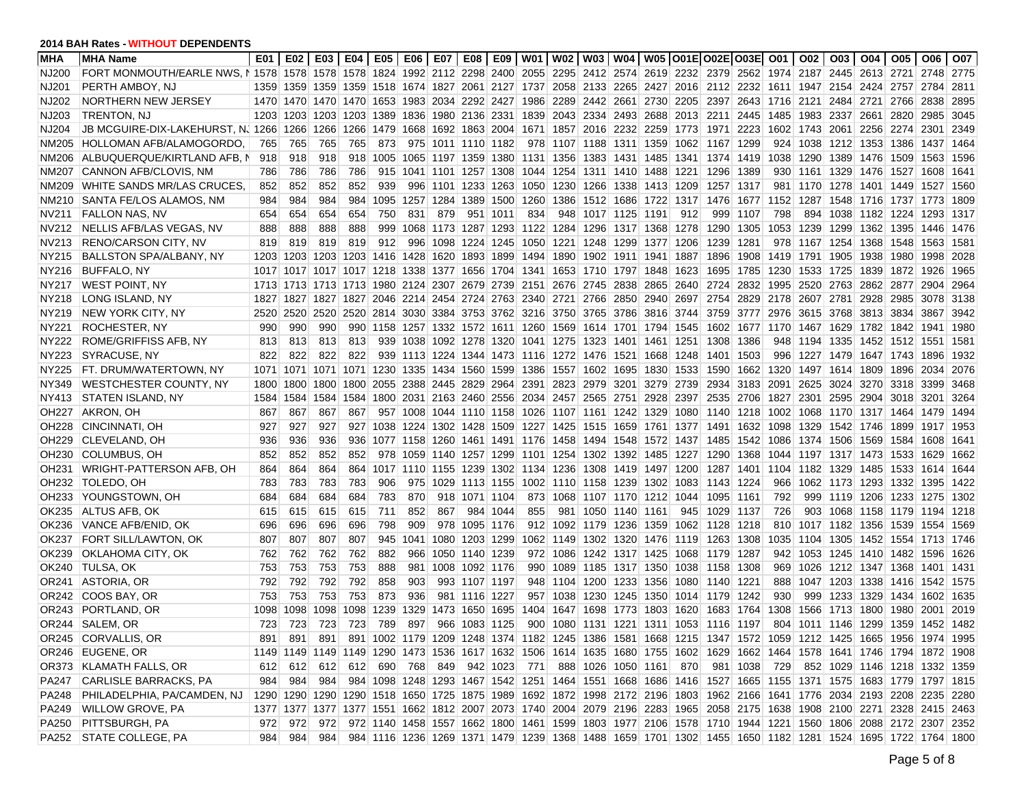| <b>MHA</b>        | <b>MHA Name</b>                                                                                                                                    | E01  |                     |                    |                |             |     |                          |                |                |                                              |                                                                       | E02   E03   E04   E05   E06   E07   E08   E09   W01   W02   W03   W04   W05  O01E O02E O03E  O01   O02                  |      |                                              |                    |      |           |                          | 003   004   005   006              |           |      | O07  |
|-------------------|----------------------------------------------------------------------------------------------------------------------------------------------------|------|---------------------|--------------------|----------------|-------------|-----|--------------------------|----------------|----------------|----------------------------------------------|-----------------------------------------------------------------------|-------------------------------------------------------------------------------------------------------------------------|------|----------------------------------------------|--------------------|------|-----------|--------------------------|------------------------------------|-----------|------|------|
| NJ200             | FORT MONMOUTH/EARLE NWS, I 1578 1578 1578 1578 1824 1992 2112 2298 2400 2055 2295 2412 2574 2619 2232 2379 2562 1974 2187 2445 2613 2721 2748 2775 |      |                     |                    |                |             |     |                          |                |                |                                              |                                                                       |                                                                                                                         |      |                                              |                    |      |           |                          |                                    |           |      |      |
| NJ201             | PERTH AMBOY, NJ                                                                                                                                    | 1359 |                     |                    |                |             |     |                          |                |                |                                              |                                                                       | 1359 1359 1359 1518 1674 1827 2061 2127 1737 2058 2133 2265 2427 2016 2112 2232 1611 1947 2154 2424 2757 2784           |      |                                              |                    |      |           |                          |                                    |           |      | 2811 |
| NJ202             | NORTHERN NEW JERSEY                                                                                                                                | 1470 |                     |                    |                |             |     |                          |                |                |                                              |                                                                       | 1470 1470 1470 1653 1983 2034 2292 2427 1986 2289 2442 2661 2730 2205 2397                                              |      |                                              | 2643 1716 2121     |      |           |                          | 2484 2721 2766 2838                |           |      | 2895 |
| NJ203             | TRENTON, NJ                                                                                                                                        |      | 1203 1203 1203 1203 |                    |                |             |     | 1389 1836 1980 2136 2331 |                |                |                                              |                                                                       | 1839 2043 2334 2493 2688 2013 2211 2445 1485 1983 2337 2661 2820 2985                                                   |      |                                              |                    |      |           |                          |                                    |           |      | 3045 |
| NJ204             | JB MCGUIRE-DIX-LAKEHURST, N. 1266                                                                                                                  |      |                     | 1266 1266          | 1266           |             |     |                          |                |                |                                              | 1479 1668 1692 1863 2004 1671 1857 2016 2232 2259                     |                                                                                                                         |      | 1773 1971 2223                               |                    |      |           |                          | 1602 1743 2061 2256 2274 2301      |           |      | 2349 |
| NM205             | HOLLOMAN AFB/ALAMOGORDO.                                                                                                                           | 765  | 765                 | 765                | 765            | 873         |     | 975 1011 1110 1182       |                |                |                                              | 978 1107 1188 1311 1359                                               |                                                                                                                         |      | 1062 1167 1299                               |                    |      |           |                          | 924 1038 1212 1353 1386 1437       |           |      | 1464 |
| NM206             | ALBUQUERQUE/KIRTLAND AFB, N                                                                                                                        | 918  | 918                 | 918                | 918            |             |     | 1005 1065 1197 1359 1380 |                |                |                                              | 1131 1356 1383 1431 1485                                              |                                                                                                                         | 1341 | 1374 1419                                    |                    |      | 1038 1290 |                          | 1389 1476                          | 1509 1563 |      | 1596 |
| NM207             | CANNON AFB/CLOVIS, NM                                                                                                                              | 786  | 786                 | 786                | 786            |             |     |                          |                |                |                                              | 915 1041 1101 1257 1308 1044 1254 1311 1410 1488                      |                                                                                                                         | 1221 | 1296                                         | 1389               |      |           |                          | 930 1161 1329 1476 1527 1608       |           |      | 1641 |
| NM209             | WHITE SANDS MR/LAS CRUCES,                                                                                                                         | 852  | 852                 | 852                | 852            | 939         |     |                          |                |                |                                              |                                                                       | 996 1101 1233 1263 1050 1230 1266 1338 1413 1209                                                                        |      | 1257 1317                                    |                    |      |           |                          | 981 1170 1278 1401 1449 1527       |           |      | 1560 |
| NM210             | SANTA FE/LOS ALAMOS, NM                                                                                                                            | 984  | 984                 | 984                | 984            |             |     |                          |                |                |                                              |                                                                       | 1095 1257 1284 1389 1500 1260 1386 1512 1686 1722 1317 1476 1677 1152 1287 1548 1716 1737 1773                          |      |                                              |                    |      |           |                          |                                    |           |      | 1809 |
| NV211             | <b>FALLON NAS, NV</b>                                                                                                                              | 654  | 654                 | 654                | 654            | 750         | 831 | 879                      |                | 951 1011       | 834                                          | 948 1017 1125 1191                                                    |                                                                                                                         | 912  | 999                                          | 1107               | 798  | 894       |                          | 1038 1182 1224                     |           | 1293 | 1317 |
| NV212             | NELLIS AFB/LAS VEGAS, NV                                                                                                                           | 888  | 888                 | 888                | 888            |             |     |                          |                |                |                                              |                                                                       | 999 1068 1173 1287 1293 1122 1284 1296 1317 1368                                                                        | 1278 | 1290 1305                                    |                    |      |           |                          | 1053 1239 1299 1362 1395 1446      |           |      | 1476 |
| NV213             | <b>RENO/CARSON CITY, NV</b>                                                                                                                        | 819  | 819                 | 819                | 819            | 912         | 996 |                          |                |                |                                              | 1098 1224 1245 1050 1221 1248 1299 1377                               |                                                                                                                         | 1206 | 1239                                         | 1281               |      |           |                          | 978 1167 1254 1368 1548 1563       |           |      | 1581 |
| NY215             | <b>BALLSTON SPA/ALBANY, NY</b>                                                                                                                     | 1203 |                     |                    |                |             |     |                          |                |                |                                              | 1203 1203 1203 1416 1428 1620 1893 1899 1494 1890 1902 1911 1941      |                                                                                                                         | 1887 | 1896                                         | 1908 1419 1791     |      |           |                          | 1905 1938 1980 1998                |           |      | 2028 |
| NY216             | <b>BUFFALO, NY</b>                                                                                                                                 |      |                     |                    |                |             |     |                          |                |                |                                              | 1017 1017 1017 1017 1218 1338 1377 1656 1704 1341 1653 1710 1797 1848 |                                                                                                                         | 1623 | 1695                                         |                    |      |           |                          | 1785 1230 1533 1725 1839 1872 1926 |           |      | 1965 |
| NY217             | <b>WEST POINT, NY</b>                                                                                                                              |      | 1713 1713 1713 1713 |                    |                |             |     |                          |                |                |                                              | 1980 2124 2307 2679 2739 2151 2676 2745 2838 2865                     |                                                                                                                         | 2640 | 2724                                         |                    |      |           |                          | 2832 1995 2520 2763 2862 2877 2904 |           |      | 2964 |
| NY218             | LONG ISLAND, NY                                                                                                                                    | 1827 |                     | 1827   1827   1827 |                |             |     |                          |                |                |                                              |                                                                       | 2046 2214 2454 2724 2763 2340 2721 2766 2850 2940                                                                       | 2697 | 2754                                         | 2829 2178 2607     |      |           |                          | 2781 2928 2985 3078                |           |      | 3138 |
| NY219             | <b>NEW YORK CITY, NY</b>                                                                                                                           | 2520 | 2520                |                    | 2520 2520      |             |     |                          |                |                |                                              |                                                                       | 2814 3030 3384 3753 3762 3216 3750 3765 3786 3816                                                                       | 3744 |                                              |                    |      |           |                          | 3759 3777 2976 3615 3768 3813 3834 |           | 3867 | 3942 |
| NY221             | ROCHESTER, NY                                                                                                                                      | 990  | 990                 | 990                | 990            |             |     |                          |                |                |                                              |                                                                       | 1158 1257 1332 1572 1611 1260 1569 1614 1701 1794 1545 1602 1677 1170 1467 1629 1782 1842 1941                          |      |                                              |                    |      |           |                          |                                    |           |      | 1980 |
| NY222             | ROME/GRIFFISS AFB, NY                                                                                                                              | 813  | 813                 | 813                | 813            |             |     |                          |                |                |                                              | 939 1038 1092 1278 1320 1041 1275 1323 1401 1461                      |                                                                                                                         |      | 1251 1308                                    | 1386               |      |           |                          | 948 1194 1335 1452 1512 1551       |           |      | 1581 |
| NY223             | <b>SYRACUSE, NY</b>                                                                                                                                | 822  | 822                 | 822                | 822            |             |     |                          |                |                |                                              | 939 1113 1224 1344 1473 1116 1272 1476 1521 1668                      |                                                                                                                         | 1248 | 1401 1503                                    |                    |      |           |                          | 996 1227 1479 1647 1743 1896       |           |      | 1932 |
| NY225             | FT. DRUM/WATERTOWN, NY                                                                                                                             | 1071 |                     |                    |                |             |     |                          |                |                | 1071 1071 1071 1230 1335 1434 1560 1599 1386 | 1557 1602 1695 1830                                                   |                                                                                                                         |      | 1533 1590                                    |                    |      |           | 1662 1320 1497 1614 1809 |                                    | 1896      | 2034 | 2076 |
| NY349             | <b>WESTCHESTER COUNTY, NY</b>                                                                                                                      | 1800 |                     |                    | 1800 1800 1800 |             |     |                          |                |                |                                              | 2055 2388 2445 2829 2964 2391 2823 2979 3201 3279                     |                                                                                                                         | 2739 | 2934                                         | 3183               | 2091 | 2625      |                          | 3024 3270 3318                     |           | 3399 | 3468 |
| NY413             | <b>STATEN ISLAND, NY</b>                                                                                                                           | 1584 |                     | 1584 1584          | 1584           |             |     |                          |                |                |                                              | 1800 2031 2163 2460 2556 2034 2457 2565 2751 2928                     |                                                                                                                         | 2397 | 2535                                         | 2706               | 1827 | 2301      |                          | 2595 2904 3018 3201                |           |      | 3264 |
| OH <sub>227</sub> | AKRON, OH                                                                                                                                          | 867  | 867                 | 867                | 867            |             |     |                          |                |                |                                              | 957 1008 1044 1110 1158 1026 1107 1161 1242 1329                      |                                                                                                                         |      | 1080 1140 1218 1002 1068 1170 1317 1464 1479 |                    |      |           |                          |                                    |           |      | 1494 |
| <b>OH228</b>      | CINCINNATI, OH                                                                                                                                     | 927  | 927                 | 927                | 927            |             |     |                          |                |                |                                              |                                                                       | 1038 1224 1302 1428 1509 1227 1425 1515 1659 1761 1377 1491 1632 1098                                                   |      |                                              |                    |      | 1329      |                          | 1542 1746 1899                     |           | 1917 | 1953 |
| OH229             | <b>CLEVELAND, OH</b>                                                                                                                               | 936  | 936                 | 936                | 936            |             |     |                          |                |                | 1077 1158 1260 1461 1491 1176                |                                                                       | 1458   1494   1548   1572   1437                                                                                        |      | 1485                                         | 1542 1086          |      |           |                          | 1374 1506 1569 1584 1608           |           |      | 1641 |
| OH <sub>230</sub> | COLUMBUS, OH                                                                                                                                       | 852  | 852                 | 852                | 852            |             |     |                          |                |                |                                              | 978 1059 1140 1257 1299 1101 1254 1302 1392 1485                      |                                                                                                                         | 1227 | 1290 1368                                    |                    | 1044 |           | 1197 1317 1473           |                                    | 1533 1629 |      | 1662 |
| OH <sub>231</sub> | WRIGHT-PATTERSON AFB, OH                                                                                                                           | 864  | 864                 | 864                | 864            |             |     |                          |                |                |                                              |                                                                       | 1017 1110 1155 1239 1302 1134 1236 1308 1419 1497 1200                                                                  |      | 1287                                         | 1401   1104   1182 |      |           |                          | 1329 1485                          | 1533      | 1614 | 1644 |
| OH232             | TOLEDO, OH                                                                                                                                         | 783  | 783                 | 783                | 783            | 906         | 975 |                          |                | 1029 1113 1155 |                                              |                                                                       | 1002 1110 1158 1239 1302                                                                                                |      | 1083 1143 1224                               |                    | 966  |           |                          | 1062 1173 1293 1332 1395           |           |      | 1422 |
| OH233             | YOUNGSTOWN, OH                                                                                                                                     | 684  | 684                 | 684                | 684            | 783         | 870 |                          | 918 1071 1104  |                |                                              |                                                                       | 873 1068 1107 1170 1212 1044                                                                                            |      | 1095                                         | 1161               | 792  |           |                          | 999 1119 1206 1233 1275            |           |      | 1302 |
| OK235             | ALTUS AFB, OK                                                                                                                                      | 615  | 615                 | 615                | 615            | 711         | 852 | 867                      |                | 984 1044       | 855                                          | 981 1050 1140 1161                                                    |                                                                                                                         | 945  | 1029                                         | 1137               | 726  | 903       |                          | 1068 1158 1179 1194                |           |      | 1218 |
| OK236             | VANCE AFB/ENID, OK                                                                                                                                 | 696  | 696                 | 696                | 696            | 798         | 909 |                          | 978 1095 1176  |                |                                              | 912 1092 1179 1236 1359                                               |                                                                                                                         |      | 1062 1128 1218                               |                    |      |           |                          | 810 1017 1182 1356 1539 1554       |           |      | 1569 |
| OK237             | FORT SILL/LAWTON, OK                                                                                                                               | 807  | 807                 | 807                | 807            |             |     | 945 1041 1080 1203 1299  |                |                |                                              |                                                                       | 1062 1149 1302 1320 1476 1119                                                                                           |      | 1263 1308                                    |                    |      |           |                          | 1035 1104 1305 1452 1554 1713      |           |      | 1746 |
| OK239             | OKLAHOMA CITY, OK                                                                                                                                  | 762  | 762                 | 762                | 762            | 882         | 966 |                          | 1050 1140 1239 |                |                                              | 972 1086 1242 1317 1425                                               |                                                                                                                         | 1068 | 1179                                         | 1287               | 942  | 1053      |                          | 1245 1410 1482 1596                |           |      | 1626 |
|                   | OK240 TULSA, OK                                                                                                                                    | 753  | 753                 | 753                | 753            | 888         | 981 |                          | 1008 1092 1176 |                | 990                                          | 1089 1185 1317 1350                                                   |                                                                                                                         |      | 1038 1158                                    | 1308               | 969  | 1026      |                          | 1212 1347 1368 1401                |           |      | 1431 |
| OR241             | ASTORIA, OR                                                                                                                                        | 792  | 792                 | 792                | 792            | 858         | 903 |                          | 993 1107 1197  |                |                                              | 948 1104 1200 1233 1356                                               |                                                                                                                         |      | 1080 1140 1221                               |                    | 888  |           |                          | 1047 1203 1338 1416 1542           |           |      | 1575 |
|                   | OR242 COOS BAY, OR                                                                                                                                 | 753  | 753                 | 753                | 753            | 873         | 936 |                          | 981 1116       | 1227           |                                              | 957 1038 1230 1245 1350                                               |                                                                                                                         | 1014 | 1179                                         | 1242               | 930  | 999       |                          | 1233 1329 1434 1602                |           |      | 1635 |
| OR243             | PORTLAND, OR                                                                                                                                       | 1098 | 1098                | 1098               | 1098           | 1239 1329   |     |                          | 1473 1650      | 1695           |                                              | 1404 1647 1698 1773 1803                                              |                                                                                                                         | 1620 | 1683                                         | 1764               | 1308 |           | 1566 1713 1800           |                                    | 1980      | 2001 | 2019 |
|                   | OR244 SALEM, OR                                                                                                                                    | 723  | 723                 | 723                | 723            | 789         | 897 |                          | 966 1083 1125  |                | 900                                          | 1080 1131 1221 1311                                                   |                                                                                                                         |      | 1053 1116 1197                               |                    | 804  |           |                          | 1011 1146 1299 1359 1452 1482      |           |      |      |
|                   | OR245 CORVALLIS, OR                                                                                                                                |      |                     |                    |                |             |     |                          |                |                |                                              |                                                                       | 891 891 891 891 1002 1179 1209 1248 1374 1182 1245 1386 1581 1668 1215 1347 1572 1059 1212 1425 1665 1956 1974 1995     |      |                                              |                    |      |           |                          |                                    |           |      |      |
|                   | OR246 EUGENE, OR                                                                                                                                   |      |                     |                    |                |             |     |                          |                |                |                                              |                                                                       | 1149 1149 1149 1149 1290 1473 1536 1617 1632 1506 1614 1635 1680 1755 1602 1629 1662 1464 1578 1641 1746 1794 1872 1908 |      |                                              |                    |      |           |                          |                                    |           |      |      |
|                   | OR373 KLAMATH FALLS, OR                                                                                                                            | 612  |                     | 612 612            |                | 612 690 768 |     |                          |                |                |                                              | 849 942 1023 771 888 1026 1050 1161                                   |                                                                                                                         | 870  |                                              | 981 1038 729       |      |           |                          | 852 1029 1146 1218 1332 1359       |           |      |      |
|                   | PA247 CARLISLE BARRACKS, PA                                                                                                                        | 984  | 984                 | 984                |                |             |     |                          |                |                |                                              |                                                                       | 984 1098 1248 1293 1467 1542 1251 1464 1551 1668 1686 1416 1527 1665 1155 1371 1575 1683 1779 1797 1815                 |      |                                              |                    |      |           |                          |                                    |           |      |      |
| PA248             | PHILADELPHIA, PA/CAMDEN, NJ                                                                                                                        |      |                     |                    |                |             |     |                          |                |                |                                              |                                                                       | 1290 1290 1290 1290 1518 1650 1725 1875 1989 1692 1872 1998 2172 2196 1803 1962 2166 1641 1776 2034 2193 2208 2235 2280 |      |                                              |                    |      |           |                          |                                    |           |      |      |
| PA249             | WILLOW GROVE, PA                                                                                                                                   |      |                     |                    |                |             |     |                          |                |                |                                              |                                                                       | 1377 1377 1377 1377 1551 1662 1812 2007 2073 1740 2004 2079 2196 2283 1965 2058 2175 1638 1908 2100 2271 2328 2415 2463 |      |                                              |                    |      |           |                          |                                    |           |      |      |
| PA250             | PITTSBURGH, PA                                                                                                                                     | 972  | 972                 | 972                |                |             |     |                          |                |                |                                              |                                                                       | 972 1140 1458 1557 1662 1800 1461 1599 1803 1977 2106 1578 1710 1944 1221 1560 1806 2088 2172 2307 2352                 |      |                                              |                    |      |           |                          |                                    |           |      |      |
|                   | PA252 STATE COLLEGE, PA                                                                                                                            | 984  | 984                 | 984                |                |             |     |                          |                |                |                                              |                                                                       | 984 1116 1236 1269 1371 1479 1239 1368 1488 1659 1701 1302 1455 1650 1182 1281 1524 1695 1722 1764 1800                 |      |                                              |                    |      |           |                          |                                    |           |      |      |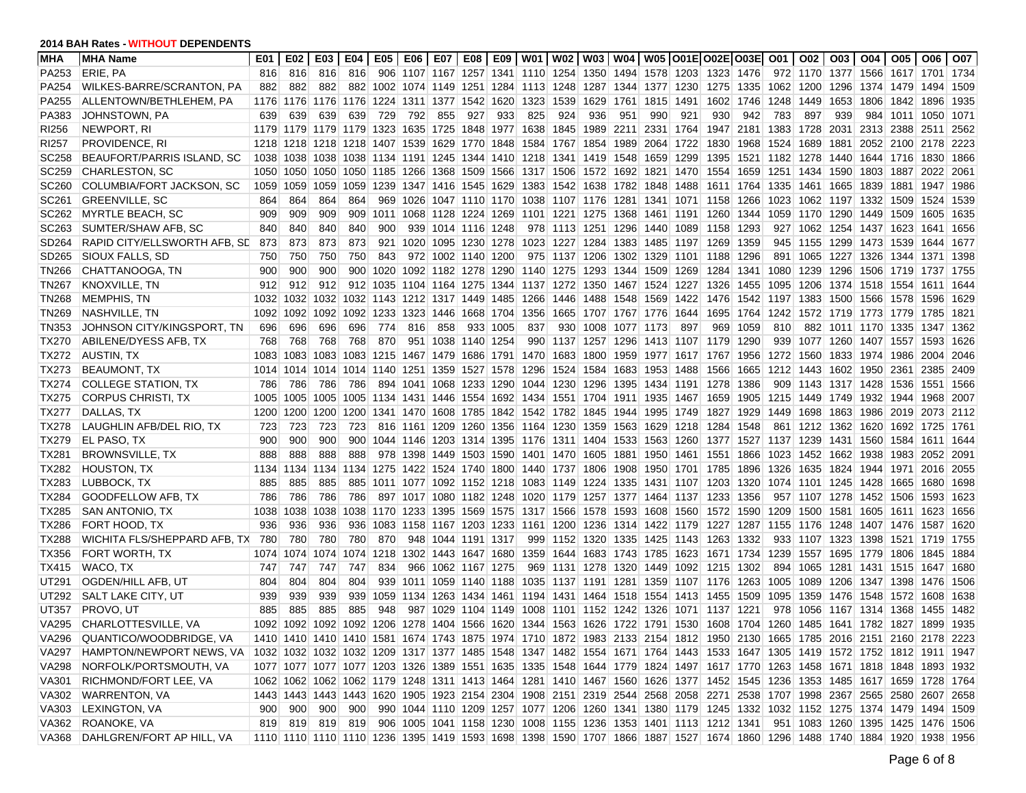| <b>MHA</b>        | <b>MHA Name</b>               | E01  | E02  | E03            | E04 I                                   |                               |     |                          |     |                         |                                                                  |     |                          |                |                                                                            |      | E05   E06   E07   E08   E09   W01   W02   W03   W04   W05   O01E   O02E   O03E   O01   O02                              |                |                               |          |                     | 003   004   005   006                    |                |      | O07  |
|-------------------|-------------------------------|------|------|----------------|-----------------------------------------|-------------------------------|-----|--------------------------|-----|-------------------------|------------------------------------------------------------------|-----|--------------------------|----------------|----------------------------------------------------------------------------|------|-------------------------------------------------------------------------------------------------------------------------|----------------|-------------------------------|----------|---------------------|------------------------------------------|----------------|------|------|
| PA253             | ERIE, PA                      | 816  | 816  | 816            | 816                                     |                               |     |                          |     |                         |                                                                  |     |                          |                |                                                                            |      | 906 1107 1167 1257 1341 1110 1254 1350 1494 1578 1203 1323 1476                                                         |                |                               |          |                     | 972 1170 1377 1566 1617 1701 1734        |                |      |      |
| PA254             | WILKES-BARRE/SCRANTON, PA     | 882  | 882  | 882            |                                         |                               |     |                          |     |                         |                                                                  |     |                          |                | 882 1002 1074 1149 1251 1284 1113 1248 1287 1344 1377 1230                 |      |                                                                                                                         |                | 1275 1335 1062 1200           |          | 1296                |                                          | 1374 1479 1494 |      | 1509 |
| PA255             | ALLENTOWN/BETHLEHEM, PA       | 1176 |      | 1176 1176      |                                         | 1176 1224 1311 1377 1542 1620 |     |                          |     |                         | 1323 1539                                                        |     |                          | 1629 1761 1815 |                                                                            | 1491 | 1602                                                                                                                    | 1746           | 1248                          | 1449     | 1653                |                                          | 1806 1842 1896 |      | 1935 |
| PA383             | JOHNSTOWN, PA                 | 639  | 639  | 639            | 639                                     | 729                           | 792 | 855                      | 927 | 933                     | 825                                                              | 924 | 936                      | 951            | 990                                                                        | 921  | 930                                                                                                                     | 942            | 783                           | 897      | 939                 |                                          | 984 1011 1050  |      | 1071 |
| RI256             | NEWPORT, RI                   | 1179 |      |                | 1179   1179   1179                      |                               |     |                          |     |                         | 1323 1635 1725 1848 1977 1638 1845 1989 2211 2331                |     |                          |                |                                                                            | 1764 | 1947                                                                                                                    | 2181 1383      |                               | 1728     |                     | 2031 2313 2388                           |                | 2511 | 2562 |
| RI257             | PROVIDENCE, RI                |      |      |                |                                         |                               |     |                          |     |                         |                                                                  |     |                          |                | 1218 1218 1218 1218 1407 1539 1629 1770 1848 1584 1767 1854 1989 2064 1722 |      | 1830                                                                                                                    |                | 1968 1524 1689                |          | 1881                |                                          | 2052 2100 2178 |      | 2223 |
| SC258             | BEAUFORT/PARRIS ISLAND, SC    | 1038 |      |                |                                         |                               |     |                          |     |                         | 1038 1038 1038 1134 1191 1245 1344 1410 1218 1341 1419 1548 1659 |     |                          |                |                                                                            | 1299 | 1395                                                                                                                    |                | 1521 1182 1278                |          |                     | 1440   1644   1716   1830                |                |      | 1866 |
| SC259             | <b>CHARLESTON, SC</b>         | 1050 |      |                |                                         |                               |     |                          |     |                         | 1050 1050 1050 1185 1266 1368 1509 1566 1317 1506 1572 1692 1821 |     |                          |                |                                                                            |      | 1470 1554                                                                                                               |                |                               |          |                     | 1659  1251  1434  1590  1803  1887  2022 |                |      | 2061 |
| SC260             | COLUMBIA/FORT JACKSON, SC     | 1059 |      |                |                                         |                               |     |                          |     |                         |                                                                  |     |                          |                | 1059 1059 1059 1239 1347 1416 1545 1629 1383 1542 1638 1782 1848 1488      |      |                                                                                                                         |                |                               |          |                     | 1611 1764 1335 1461 1665 1839 1881 1947  |                |      | 1986 |
| SC <sub>261</sub> | <b>GREENVILLE, SC</b>         | 864  | 864  | 864            | 864                                     |                               |     |                          |     |                         | 969 1026 1047 1110 1170 1038 1107 1176 1281 1341                 |     |                          |                |                                                                            |      | 1071  1158                                                                                                              | 1266           | 1023                          |          |                     | 1062 1197 1332 1509 1524                 |                |      | 1539 |
| SC262             | <b>MYRTLE BEACH, SC</b>       | 909  | 909  | 909            | 909                                     |                               |     |                          |     |                         | 1011 1068 1128 1224 1269 1101 1221 1275 1368 1461                |     |                          |                |                                                                            | 1191 | 1260 1344 1059 1170                                                                                                     |                |                               |          |                     | 1290 1449                                | 1509           | 1605 | 1635 |
| SC263             | SUMTER/SHAW AFB, SC           | 840  | 840  | 840            | 840                                     | 900                           |     | 939 1014 1116 1248       |     |                         |                                                                  |     | 978 1113 1251 1296 1440  |                |                                                                            | 1089 | 1158                                                                                                                    | 1293           |                               |          |                     | 927 1062 1254 1437 1623                  |                | 1641 | 1656 |
| SD264             | RAPID CITY/ELLSWORTH AFB, SE  | 873  | 873  | 873            | 873                                     |                               |     | 921 1020 1095 1230 1278  |     |                         |                                                                  |     | 1023 1227 1284 1383 1485 |                |                                                                            | 1197 | 1269                                                                                                                    | 1359           |                               | 945 1155 |                     | 1299 1473 1539 1644                      |                |      | 1677 |
| SD265             | SIOUX FALLS, SD               | 750  | 750  | 750            | 750                                     | 843                           |     | 972 1002 1140 1200       |     |                         |                                                                  |     | 975 1137 1206 1302 1329  |                |                                                                            |      | 1101 1188                                                                                                               | 1296           | 891                           |          |                     | 1065 1227 1326 1344 1371                 |                |      | 1398 |
| <b>TN266</b>      | CHATTANOOGA, TN               | 900  | 900  | 900            | 900                                     |                               |     |                          |     |                         | 1020 1092 1182 1278 1290 1140 1275 1293 1344 1509                |     |                          |                |                                                                            | 1269 | 1284                                                                                                                    |                | 1341 1080 1239                |          |                     | 1296 1506 1719 1737                      |                |      | 1755 |
| TN267             | KNOXVILLE, TN                 | 912  | 912  | 912            |                                         |                               |     |                          |     |                         | 912 1035 1104 1164 1275 1344 1137 1272 1350 1467 1524            |     |                          |                |                                                                            | 1227 | 1326                                                                                                                    |                | 1455 1095 1206                |          |                     | 1374   1518   1554   1611                |                |      | 1644 |
| TN268             | <b>MEMPHIS, TN</b>            | 1032 |      |                | 1032 1032 1032 1143 1212 1317 1449 1485 |                               |     |                          |     |                         | 1266                                                             |     | 1446 1488 1548 1569      |                |                                                                            | 1422 |                                                                                                                         |                | 1476 1542 1197 1383 1500 1566 |          |                     |                                          | 1578 1596      |      | 1629 |
| <b>TN269</b>      | NASHVILLE, TN                 | 1092 |      | 1092 1092      | 1092                                    | 1233 1323                     |     | 1446   1668   1704       |     |                         | 1356                                                             |     | 1665 1707 1767 1776      |                |                                                                            | 1644 |                                                                                                                         | 1695 1764 1242 |                               |          |                     | 1572 1719 1773 1779 1785                 |                |      | 1821 |
| TN353             | JOHNSON CITY/KINGSPORT, TN    | 696  | 696  | 696            | 696                                     | 774                           | 816 | 858                      |     | 933 1005                | 837                                                              |     | 930 1008 1077 1173       |                |                                                                            | 897  | 969                                                                                                                     | 1059           | 810                           |          |                     | 882 1011 1170 1335 1347                  |                |      | 1362 |
| TX270             | ABILENE/DYESS AFB, TX         | 768  | 768  | 768            | 768                                     | 870                           |     | 951 1038 1140 1254       |     |                         |                                                                  |     |                          |                | 990 1137 1257 1296 1413 1107 1179                                          |      |                                                                                                                         | 1290           |                               |          |                     | 939 1077 1260 1407 1557 1593             |                |      | 1626 |
| TX272             | <b>AUSTIN, TX</b>             | 1083 |      | 1083 1083      | 1083                                    | 1215 1467 1479 1686 1791      |     |                          |     |                         | 1470                                                             |     |                          |                | 1683 1800 1959 1977 1617 1767                                              |      |                                                                                                                         | 1956           | 1272 1560                     |          |                     | 1833 1974 1986 2004                      |                |      | 2046 |
| TX273             | <b>BEAUMONT, TX</b>           |      |      | 1014 1014 1014 |                                         | 1014 1140 1251 1359 1527 1578 |     |                          |     |                         | 1296                                                             |     | 1524 1584 1683 1953      |                |                                                                            | 1488 | 1566                                                                                                                    | 1665           | 1212 1443                     |          |                     | 1602 1950                                | 2361           | 2385 | 2409 |
| TX274             | COLLEGE STATION, TX           | 786  | 786  | 786            | 786                                     |                               |     |                          |     | 894 1041 1068 1233 1290 | 1044 1230 1296                                                   |     |                          |                | 1395 1434 1191                                                             |      | 1278                                                                                                                    | 1386           |                               |          | 909 1143 1317 1428  |                                          | 1536           | 1551 | 1566 |
| TX275             | <b>CORPUS CHRISTI. TX</b>     | 1005 | 1005 | 1005           | 1005                                    |                               |     |                          |     |                         | 1134 1431 1446 1554 1692 1434 1551 1704 1911 1935                |     |                          |                |                                                                            | 1467 | 1659                                                                                                                    | 1905           |                               |          | 1215 1449 1749 1932 |                                          | 1944 1968      |      | 2007 |
| TX277             | DALLAS, TX                    | 1200 |      | 1200 1200      | 1200                                    |                               |     |                          |     |                         |                                                                  |     |                          |                | 1341 1470 1608 1785 1842 1542 1782 1845 1944 1995 1749                     |      | 1827                                                                                                                    | 1929           | 1449                          |          |                     | 1698 1863 1986 2019 2073                 |                |      | 2112 |
| TX278             | LAUGHLIN AFB/DEL RIO, TX      | 723  | 723  | 723            | 723                                     |                               |     |                          |     |                         | 816 1161 1209 1260 1356 1164 1230 1359 1563 1629                 |     |                          |                |                                                                            |      | 1218 1284 1548                                                                                                          |                |                               |          |                     | 861 1212 1362 1620 1692 1725             |                |      | 1761 |
| TX279             | EL PASO, TX                   | 900  | 900  | 900            | 900                                     |                               |     |                          |     |                         | 1044 1146 1203 1314 1395 1176 1311 1404 1533 1563                |     |                          |                |                                                                            |      | 1260 1377 1527 1137 1239                                                                                                |                |                               |          |                     | 1431   1560   1584   1611                |                |      | 1644 |
| TX281             | <b>BROWNSVILLE, TX</b>        | 888  | 888  | 888            | 888                                     |                               |     |                          |     |                         | 978 1398 1449 1503 1590 1401 1470 1605 1881 1950                 |     |                          |                |                                                                            |      | 1461 1551 1866                                                                                                          |                | 1023 1452 1662 1938           |          |                     |                                          | 1983 2052      |      | 2091 |
| TX282             | <b>HOUSTON, TX</b>            | 1134 |      | 1134 1134      | 1134                                    |                               |     |                          |     |                         | 1275 1422 1524 1740 1800 1440 1737 1806 1908 1950                |     |                          |                |                                                                            | 1701 | 1785                                                                                                                    | 1896           | 1326                          | 1635     |                     | 1824   1944   1971   2016                |                |      | 2055 |
| TX283             | LUBBOCK, TX                   | 885  | 885  | 885            | 885                                     |                               |     |                          |     |                         |                                                                  |     |                          |                |                                                                            |      | 1011 1077 1092 1152 1218 1083 1149 1224 1335 1431 1107 1203 1320                                                        |                |                               |          |                     | 1074 1101 1245 1428 1665 1680            |                |      | 1698 |
| TX284             | <b>GOODFELLOW AFB, TX</b>     | 786  | 786  | 786            | 786                                     |                               |     |                          |     |                         |                                                                  |     |                          |                |                                                                            |      | 897 1017 1080 1182 1248 1020 1179 1257 1377 1464 1137 1233 1356                                                         |                |                               |          |                     | 957 1107 1278 1452 1506 1593             |                |      | 1623 |
| TX285             | <b>SAN ANTONIO, TX</b>        | 1038 | 1038 | 1038           | 1038                                    |                               |     |                          |     |                         |                                                                  |     |                          |                | 1170 1233 1395 1569 1575 1317 1566 1578 1593 1608 1560                     |      | 1572 1590                                                                                                               |                | 1209 1500                     |          | 1581                | 1605                                     | 1611 1623      |      | 1656 |
| TX286             | FORT HOOD, TX                 | 936  | 936  | 936            | 936                                     |                               |     |                          |     |                         |                                                                  |     |                          |                | 1083 1158 1167 1203 1233 1161 1200 1236 1314 1422 1179                     |      | 1227 1287 1155 1176                                                                                                     |                |                               |          |                     | 1248 1407 1476 1587                      |                |      | 1620 |
| TX288             | WICHITA FLS/SHEPPARD AFB, TX  | 780  | 780  | 780            | 780                                     | 870                           |     | 948 1044 1191 1317       |     |                         |                                                                  |     |                          |                |                                                                            |      | 999 1152 1320 1335 1425 1143 1263 1332                                                                                  |                |                               |          | 933 1107 1323 1398  |                                          | 1521 1719      |      | 1755 |
| TX356             | FORT WORTH, TX                | 1074 |      | 1074 1074      | 1074                                    |                               |     | 1218 1302 1443 1647 1680 |     |                         | 1359                                                             |     | 1644 1683 1743 1785      |                |                                                                            | 1623 | 1671 1734                                                                                                               |                | 1239                          | 1557     |                     | 1695 1779                                | 1806           | 1845 | 1884 |
| <b>TX415</b>      | WACO, TX                      | 747  | 747  | 747            | 747                                     | 834                           |     | 966 1062 1167 1275       |     |                         |                                                                  |     | 969 1131 1278 1320 1449  |                |                                                                            | 1092 | 1215 1302                                                                                                               |                | 894                           | 1065     |                     | 1281 1431 1515 1647                      |                |      | 1680 |
| UT291             | OGDEN/HILL AFB, UT            | 804  | 804  | 804            | 804                                     |                               |     |                          |     | 939 1011 1059 1140 1188 |                                                                  |     |                          |                |                                                                            |      | 1035 1137 1191 1281 1359 1107 1176 1263                                                                                 |                | 1005 1089                     |          |                     | 1206 1347 1398 1476                      |                |      | 1506 |
| UT292             | SALT LAKE CITY, UT            | 939  | 939  | 939            | 939                                     |                               |     |                          |     |                         | 1059 1134 1263 1434 1461 1194 1431 1464 1518 1554                |     |                          |                |                                                                            |      | 1413 1455 1509 1095                                                                                                     |                |                               | 1359     |                     | 1476 1548                                | 1572 1608      |      | 1638 |
| UT357             | PROVO, UT                     | 885  | 885  | 885            | 885                                     | 948                           | 987 |                          |     | 1029 1104 1149          | 1008                                                             |     | 1101 1152 1242 1326      |                |                                                                            |      | 1071 1137 1221                                                                                                          |                | 978                           | 1056     | 1167                | 1314                                     | 1368           | 1455 | 1482 |
| <b>VA295</b>      | CHARLOTTESVILLE, VA           |      |      | 1092 1092 1092 |                                         |                               |     |                          |     |                         |                                                                  |     |                          |                |                                                                            |      | 1092 1206 1278 1404 1566 1620 1344 1563 1626 1722 1791 1530 1608 1704 1260 1485 1641 1782 1827 1899                     |                |                               |          |                     |                                          |                |      | 1935 |
|                   | VA296 QUANTICO/WOODBRIDGE, VA |      |      |                |                                         |                               |     |                          |     |                         |                                                                  |     |                          |                |                                                                            |      | 1410 1410 1410 1410 1581 1674 1743 1875 1974 1710 1872 1983 2133 2154 1812 1950 2130 1665 1785 2016 2151 2160 2178 2223 |                |                               |          |                     |                                          |                |      |      |
| VA297             | HAMPTON/NEWPORT NEWS, VA      |      |      |                |                                         |                               |     |                          |     |                         |                                                                  |     |                          |                |                                                                            |      | 1032 1032 1032 1032 1209 1317 1377 1485 1548 1347 1482 1554 1671 1764 1443 1533 1647 1305 1419 1572 1752 1812 1911 1947 |                |                               |          |                     |                                          |                |      |      |
| VA298             | NORFOLK/PORTSMOUTH, VA        |      |      |                |                                         |                               |     |                          |     |                         |                                                                  |     |                          |                |                                                                            |      | 1077 1077 1077 1077 1203 1326 1389 1551 1635 1335 1548 1644 1779 1824 1497 1617 1770 1263 1458 1671 1818 1848 1893 1932 |                |                               |          |                     |                                          |                |      |      |
| VA301             | RICHMOND/FORT LEE, VA         |      |      |                |                                         |                               |     |                          |     |                         |                                                                  |     |                          |                |                                                                            |      | 1062 1062 1062 1062 1179 1248 1311 1413 1464 1281 1410 1467 1560 1626 1377 1452 1545 1236 1353 1485 1617 1659 1728 1764 |                |                               |          |                     |                                          |                |      |      |
| VA302             | <b>WARRENTON, VA</b>          |      |      |                |                                         |                               |     |                          |     |                         |                                                                  |     |                          |                |                                                                            |      | 1443 1443 1443 1443 1620 1905 1923 2154 2304 1908 2151 2319 2544 2568 2058 2271 2538 1707 1998 2367 2565 2580 2607 2658 |                |                               |          |                     |                                          |                |      |      |
| VA303             | LEXINGTON, VA                 | 900  | 900  | 900            |                                         |                               |     |                          |     |                         |                                                                  |     |                          |                |                                                                            |      | 900 990 1044 1110 1209 1257 1077 1206 1260 1341 1380 1179 1245 1332 1032 1152 1275 1374 1479 1494 1509                  |                |                               |          |                     |                                          |                |      |      |
| VA362             | ROANOKE, VA                   |      |      |                |                                         |                               |     |                          |     |                         |                                                                  |     |                          |                |                                                                            |      | 819 819 819 819 906 1005 1041 1158 1230 1008 1155 1236 1353 1401 1113 1212 1341                                         |                |                               |          |                     | 951 1083 1260 1395 1425 1476 1506        |                |      |      |
| VA368             | DAHLGREN/FORT AP HILL, VA     |      |      |                |                                         |                               |     |                          |     |                         |                                                                  |     |                          |                |                                                                            |      | 1110 1110 1110 1110 1236 1395 1419 1593 1698 1398 1590 1707 1866 1887 1527 1674 1860 1296 1488 1740 1884 1920 1938 1956 |                |                               |          |                     |                                          |                |      |      |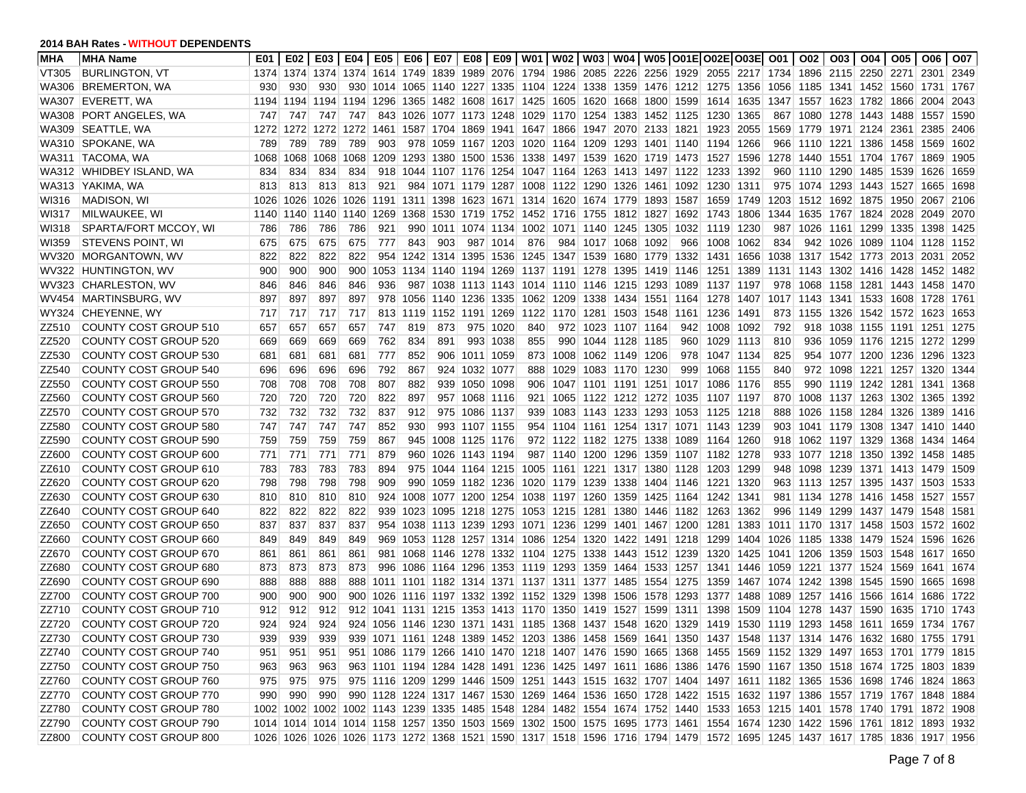| <b>MHA</b> | <b>MHA Name</b>              | E01  |         |      | E02   E03   E04     |     | E05   E06 |     |                |                          |                                                   |                                  |           | E07   E08   E09   W01   W02   W03   W04   W05  O01E O02E O03E  O01                                                      |      |                                         |      |                                    |  | 002   003   004   005    |                                        | O06  | O07  |
|------------|------------------------------|------|---------|------|---------------------|-----|-----------|-----|----------------|--------------------------|---------------------------------------------------|----------------------------------|-----------|-------------------------------------------------------------------------------------------------------------------------|------|-----------------------------------------|------|------------------------------------|--|--------------------------|----------------------------------------|------|------|
| VT305      | <b>BURLINGTON, VT</b>        | 1374 |         |      |                     |     |           |     |                |                          |                                                   |                                  |           | 1374 1374 1374 1614 1749 1839 1989 2076 1794 1986 2085 2226 2256 1929 2055 2217 1734 1896 2115 2250 2271                |      |                                         |      |                                    |  |                          |                                        | 2301 | 2349 |
| WA306      | <b>BREMERTON, WA</b>         | 930  | 930     | 930  | 930                 |     |           |     |                |                          |                                                   |                                  |           | 1014 1065 1140 1227 1335 1104 1224 1338 1359 1476 1212 1275 1356 1056                                                   |      |                                         |      |                                    |  |                          | 1185 1341 1452 1560 1731               |      | 1767 |
| WA307      | EVERETT, WA                  |      |         |      | 1194 1194 1194 1194 |     |           |     |                |                          |                                                   |                                  |           | 1296 1365 1482 1608 1617 1425 1605 1620 1668 1800 1599                                                                  |      | 1614                                    |      | 1635 1347 1557 1623 1782 1866 2004 |  |                          |                                        |      | 2043 |
| WA308      | <b>PORT ANGELES, WA</b>      | 747  | 747     | 747  | 747                 |     |           |     |                |                          |                                                   |                                  |           | 843 1026 1077 1173 1248 1029 1170 1254 1383 1452 1125                                                                   |      | 1230                                    | 1365 | 867                                |  | 1080 1278 1443 1488      |                                        | 1557 | 1590 |
| WA309      | SEATTLE, WA                  | 1272 | 1272    | 1272 | 1272                |     |           |     |                |                          |                                                   |                                  |           | 1461 1587 1704 1869 1941 1647 1866 1947 2070 2133                                                                       | 1821 | 1923                                    | 2055 |                                    |  | 1569 1779 1971 2124 2361 |                                        | 2385 | 2406 |
| WA310      | SPOKANE, WA                  | 789  | 789     | 789  | 789                 | 903 |           |     |                |                          |                                                   |                                  |           | 978 1059 1167 1203 1020 1164 1209 1293 1401 1140 1194                                                                   |      |                                         | 1266 |                                    |  | 966 1110 1221 1386 1458  |                                        | 1569 | 1602 |
|            | WA311  TACOMA, WA            | 1068 | 1068    | 1068 | 1068                |     |           |     |                |                          |                                                   |                                  |           | 1209 1293 1380 1500 1536 1338 1497 1539 1620 1719 1473 1527                                                             |      |                                         | 1596 |                                    |  |                          | 1278 1440 1551 1704 1767 1869          |      | 1905 |
|            | WA312 WHIDBEY ISLAND, WA     | 834  | 834     | 834  | 834                 |     |           |     |                |                          |                                                   |                                  |           | 918 1044 1107 1176 1254 1047 1164 1263 1413 1497 1122                                                                   |      | 1233                                    | 1392 | 960                                |  | 1110 1290 1485 1539      |                                        | 1626 | 1659 |
|            | WA313 YAKIMA, WA             | 813  | 813     | 813  | 813                 | 921 |           |     |                |                          | 984 1071 1179 1287 1008 1122 1290 1326 1461       |                                  |           |                                                                                                                         | 1092 | 1230                                    | 1311 |                                    |  |                          | 975 1074 1293 1443 1527 1665           |      | 1698 |
| WI316      | <b>MADISON, WI</b>           | 1026 | 1026    | 1026 | 1026                |     |           |     |                |                          |                                                   |                                  |           | 1191 1311 1398 1623 1671 1314 1620 1674 1779 1893 1587                                                                  |      | 1659                                    |      | 1749 1203                          |  | 1512 1692 1875 1950      |                                        | 2067 | 2106 |
| WI317      | MILWAUKEE, WI                | 1140 |         |      | 1140 1140 1140      |     |           |     |                |                          |                                                   |                                  |           | 1269 1368 1530 1719 1752 1452 1716 1755 1812 1827 1692 1743                                                             |      |                                         | 1806 | 1344                               |  | 1635 1767 1824 2028      |                                        | 2049 | 2070 |
| WI318      | SPARTA/FORT MCCOY, WI        | 786  | 786     | 786  | 786                 | 921 | 990       |     |                |                          | 1011 1074 1134 1002 1071 1140 1245 1305           |                                  |           |                                                                                                                         | 1032 | 1119                                    | 1230 | 987                                |  | 1026 1161 1299 1335      |                                        | 1398 | 1425 |
| WI359      | <b>STEVENS POINT, WI</b>     | 675  | 675     | 675  | 675                 | 777 | 843       | 903 |                | 987 1014                 | 876                                               | 984 1017 1068 1092               |           |                                                                                                                         | 966  | 1008                                    | 1062 | 834                                |  |                          | 942 1026 1089 1104 1128                |      | 1152 |
| WV320      | MORGANTOWN, WV               | 822  | 822     | 822  | 822                 |     |           |     |                |                          | 954 1242 1314 1395 1536 1245 1347 1539 1680 1779  |                                  |           |                                                                                                                         | 1332 | 1431                                    | 1656 | 1038                               |  |                          | 1317 1542 1773 2013 2031               |      | 2052 |
|            | WV322 HUNTINGTON, WV         | 900  | 900     | 900  | 900                 |     |           |     |                | 1053 1134 1140 1194 1269 | 1137 1191 1278 1395 1419                          |                                  |           |                                                                                                                         | 1146 | 1251                                    | 1389 |                                    |  | 1131 1143 1302 1416 1428 |                                        | 1452 | 1482 |
|            | WV323 CHARLESTON, WV         | 846  | 846     | 846  | 846                 | 936 |           |     |                |                          | 987 1038 1113 1143 1014 1110 1146 1215 1293       |                                  |           |                                                                                                                         | 1089 | 1137 1197                               |      | 978                                |  | 1068 1158 1281 1443      |                                        | 1458 | 1470 |
| WV454      | MARTINSBURG, WV              | 897  | 897     | 897  | 897                 |     |           |     |                | 978 1056 1140 1236 1335  |                                                   | 1062 1209 1338 1434 1551         |           |                                                                                                                         | 1164 | 1278                                    |      | 1407 1017 1143 1341 1533 1608 1728 |  |                          |                                        |      | 1761 |
| WY324      | CHEYENNE, WY                 | 717  | 717     | 717  | 717                 |     | 813 1119  |     | 1152 1191 1269 |                          | 1122 1170 1281                                    |                                  | 1503 1548 |                                                                                                                         | 1161 | 1236                                    | 1491 | 873                                |  |                          | 1155 1326 1542 1572 1623               |      | 1653 |
| ZZ510      | COUNTY COST GROUP 510        | 657  | 657     | 657  | 657                 | 747 | 819       | 873 |                | 975 1020                 | 840                                               | 972 1023 1107 1164               |           |                                                                                                                         | 942  | 1008                                    | 1092 | 792                                |  |                          | 918 1038 1155 1191 1251                |      | 1275 |
| ZZ520      | COUNTY COST GROUP 520        | 669  | 669     | 669  | 669                 | 762 | 834       | 891 |                | 993 1038                 | 855                                               | 990 1044 1128 1185               |           |                                                                                                                         | 960  | 1029                                    | 1113 | 810                                |  |                          | 936 1059 1176 1215 1272                |      | 1299 |
| ZZ530      | <b>COUNTY COST GROUP 530</b> | 681  | 681     | 681  | 681                 | 777 | 852       |     | 906 1011 1059  |                          |                                                   | 873 1008 1062 1149 1206          |           |                                                                                                                         | 978  | 1047                                    | 1134 | 825                                |  |                          | 954 1077 1200 1236 1296                |      | 1323 |
| ZZ540      | COUNTY COST GROUP 540        | 696  | 696     | 696  | 696                 | 792 | 867       |     | 924 1032 1077  |                          | 888                                               | 1029 1083 1170 1230              |           |                                                                                                                         | 999  | 1068                                    | 1155 | 840                                |  |                          | 972 1098 1221 1257 1320                |      | 1344 |
| ZZ550      | COUNTY COST GROUP 550        | 708  | 708     | 708  | 708                 | 807 | 882       |     | 939 1050       | 1098                     | 906                                               | 1047 1101 1191 1251              |           |                                                                                                                         | 1017 | 1086                                    | 1176 | 855                                |  | 990 1119 1242 1281       |                                        | 1341 | 1368 |
| ZZ560      | COUNTY COST GROUP 560        | 720  | 720     | 720  | 720                 | 822 | 897       |     | 957 1068 1116  |                          |                                                   | 921 1065 1122 1212 1272          |           |                                                                                                                         | 1035 | 1107                                    | 1197 | 870                                |  |                          | 1008   1137   1263   1302   1365       |      | 1392 |
| ZZ570      | COUNTY COST GROUP 570        | 732  | 732     | 732  | 732                 | 837 | 912       |     | 975 1086 1137  |                          | 939                                               | 1083 1143 1233 1293              |           |                                                                                                                         | 1053 | 1125                                    | 1218 | 888                                |  |                          | 1026   1158   1284   1326   1389       |      | 1416 |
| ZZ580      | <b>COUNTY COST GROUP 580</b> | 747  | 747     | 747  | 747                 | 852 | 930       |     | 993 1107 1155  |                          |                                                   |                                  |           | 954 1104 1161 1254 1317 1071                                                                                            |      | 1143                                    | 1239 | 903                                |  |                          | 1041 1179 1308 1347 1410               |      | 1440 |
| ZZ590      | COUNTY COST GROUP 590        | 759  | 759     | 759  | 759                 | 867 | 945       |     | 1008 1125 1176 |                          |                                                   | 972 1122 1182 1275 1338          |           |                                                                                                                         | 1089 | 1164                                    | 1260 | 918                                |  |                          | 1062 1197 1329 1368 1434               |      | 1464 |
| ZZ600      | COUNTY COST GROUP 600        | 771  | 771     | 771  | 771                 | 879 | 960       |     | 1026 1143 1194 |                          |                                                   | 987 1140 1200 1296 1359          |           |                                                                                                                         | 1107 | 1182                                    | 1278 | 933                                |  |                          | 1077   1218   1350   1392   1458       |      | 1485 |
| ZZ610      | COUNTY COST GROUP 610        | 783  | 783     | 783  | 783                 | 894 |           |     |                | 975 1044 1164 1215       |                                                   | 1005   1161   1221   1317   1380 |           |                                                                                                                         | 1128 | 1203                                    | 1299 | 948                                |  |                          | 1098 1239 1371 1413 1479               |      | 1509 |
| ZZ620      | COUNTY COST GROUP 620        | 798  | 798     | 798  | 798                 | 909 |           |     |                | 990 1059 1182 1236       |                                                   |                                  |           | 1020 1179 1239 1338 1404 1146                                                                                           |      | 1221                                    | 1320 | 963.                               |  |                          | 1113 1257 1395 1437 1503               |      | 1533 |
| ZZ630      | COUNTY COST GROUP 630        | 810  | 810     | 810  | 810                 |     |           |     |                |                          |                                                   |                                  |           | 924 1008 1077 1200 1254 1038 1197 1260 1359 1425 1164                                                                   |      | 1242                                    | 1341 |                                    |  |                          | 981   1134   1278   1416   1458   1527 |      | 1557 |
| ZZ640      | COUNTY COST GROUP 640        | 822  | 822     | 822  | 822                 |     |           |     |                |                          |                                                   |                                  |           | 939 1023 1095 1218 1275 1053 1215 1281 1380 1446 1182                                                                   |      | 1263                                    | 1362 |                                    |  |                          | 996 1149 1299 1437 1479 1548           |      | 1581 |
| ZZ650      | COUNTY COST GROUP 650        | 837  | 837     | 837  | 837                 |     | 954 1038  |     |                |                          | 1113 1239 1293 1071 1236 1299                     |                                  |           | 1401 1467 1200                                                                                                          |      | 1281                                    | 1383 |                                    |  | 1011 1170 1317 1458 1503 |                                        | 1572 | 1602 |
| ZZ660      | COUNTY COST GROUP 660        | 849  | 849     | 849  | 849                 |     |           |     |                |                          |                                                   |                                  |           | 969 1053 1128 1257 1314 1086 1254 1320 1422 1491 1218                                                                   |      | 1299                                    |      | 1404 1026 1185 1338 1479 1524      |  |                          |                                        | 1596 | 1626 |
| ZZ670      | COUNTY COST GROUP 670        | 861  | 861     | 861  | 861                 |     |           |     |                |                          |                                                   |                                  |           | 981 1068 1146 1278 1332 1104 1275 1338 1443 1512 1239                                                                   |      | 1320                                    |      | 1425 1041 1206 1359 1503 1548      |  |                          |                                        | 1617 | 1650 |
| ZZ680      | COUNTY COST GROUP 680        | 873  | 873     | 873  | 873                 |     |           |     |                |                          | 996 1086 1164 1296 1353 1119 1293 1359 1464 1533  |                                  |           |                                                                                                                         | 1257 | 1341                                    |      | 1446 1059                          |  |                          | 1221 1377 1524 1569 1641               |      | 1674 |
| ZZ690      | COUNTY COST GROUP 690        | 888  | 888     | 888  | 888                 |     |           |     |                |                          | 1011 1101 1182 1314 1371 1137 1311 1377 1485 1554 |                                  |           |                                                                                                                         | 1275 | 1359                                    |      | 1467 1074 1242 1398 1545 1590      |  |                          |                                        | 1665 | 1698 |
| ZZ700      | COUNTY COST GROUP 700        | 900  | 900     | 900  | 900                 |     |           |     |                |                          | 1026 1116 1197 1332 1392 1152 1329 1398 1506 1578 |                                  |           |                                                                                                                         | 1293 | 1377                                    |      | 1488 1089                          |  | 1257 1416 1566 1614      |                                        | 1686 | 1722 |
| ZZ710      | COUNTY COST GROUP 710        | 912  | 912     | 912  | 912                 |     |           |     |                |                          | 1041   1131   1215   1353   1413   1170           | 1350 1419 1527 1599              |           |                                                                                                                         | 1311 | 1398                                    |      | 1509 1104 1278 1437 1590 1635      |  |                          |                                        | 1710 | 1743 |
| ZZ720      | COUNTY COST GROUP 720        | 924  | 924     | 924  | 924                 |     |           |     |                |                          | 1056 1146 1230 1371 1431 1185 1368 1437 1548 1620 |                                  |           |                                                                                                                         | 1329 | 1419 1530 1119 1293 1458 1611 1659 1734 |      |                                    |  |                          |                                        |      | 1767 |
| ZZ730      | COUNTY COST GROUP 730        | 939  | 939     | 939  |                     |     |           |     |                |                          |                                                   |                                  |           | 939 1071 1161 1248 1389 1452 1203 1386 1458 1569 1641 1350 1437 1548 1137 1314 1476 1632 1680 1755 1791                 |      |                                         |      |                                    |  |                          |                                        |      |      |
| ZZ740      | COUNTY COST GROUP 740        | 951  | 951     | 951  |                     |     |           |     |                |                          |                                                   |                                  |           | 951 1086 1179 1266 1410 1470 1218 1407 1476 1590 1665 1368 1455 1569 1152 1329 1497 1653 1701 1779 1815                 |      |                                         |      |                                    |  |                          |                                        |      |      |
| ZZ750      | COUNTY COST GROUP 750        | 963  | 963     | 963  |                     |     |           |     |                |                          |                                                   |                                  |           | 963 1101 1194 1284 1428 1491 1236 1425 1497 1611 1686 1386 1476 1590 1167 1350 1518 1674 1725 1803 1839                 |      |                                         |      |                                    |  |                          |                                        |      |      |
| ZZ760      | COUNTY COST GROUP 760        |      | 975 975 | 975  |                     |     |           |     |                |                          |                                                   |                                  |           | 975 1116 1209 1299 1446 1509 1251 1443 1515 1632 1707 1404 1497 1611 1182 1365 1536 1698 1746 1824 1863                 |      |                                         |      |                                    |  |                          |                                        |      |      |
| ZZ770      | COUNTY COST GROUP 770        | 990  | 990     | 990  |                     |     |           |     |                |                          |                                                   |                                  |           | 990 1128 1224 1317 1467 1530 1269 1464 1536 1650 1728 1422 1515 1632 1197 1386 1557 1719 1767 1848 1884                 |      |                                         |      |                                    |  |                          |                                        |      |      |
| ZZ780      | COUNTY COST GROUP 780        |      |         |      |                     |     |           |     |                |                          |                                                   |                                  |           | 1002 1002 1002 1102 1143 1239 1335 1485 1548 1284 1482 1554 1674 1752 1440 1533 1653 1215 1401 1578 1740 1791 1872 1908 |      |                                         |      |                                    |  |                          |                                        |      |      |
| ZZ790      | COUNTY COST GROUP 790        |      |         |      |                     |     |           |     |                |                          |                                                   |                                  |           | 1014 1014 1014 1014 1158 1257 1350 1503 1569 1302 1500 1575 1695 1773 1461 1554 1674 1230 1422 1596 1761 1812 1893 1932 |      |                                         |      |                                    |  |                          |                                        |      |      |
| ZZ800      | COUNTY COST GROUP 800        |      |         |      |                     |     |           |     |                |                          |                                                   |                                  |           | 1026 1026 1026 1026 1173 1272 1368 1521 1590 1317 1518 1596 1716 1794 1479 1572 1695 1245 1437 1617 1785 1836 1917 1956 |      |                                         |      |                                    |  |                          |                                        |      |      |
|            |                              |      |         |      |                     |     |           |     |                |                          |                                                   |                                  |           |                                                                                                                         |      |                                         |      |                                    |  |                          |                                        |      |      |